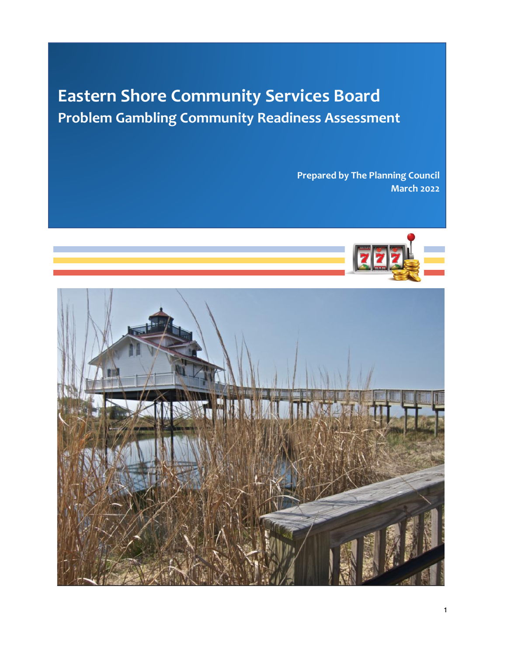# **Eastern Shore Community Services Board Problem Gambling Community Readiness Assessment**

**Prepared by The Planning Council March 2022**



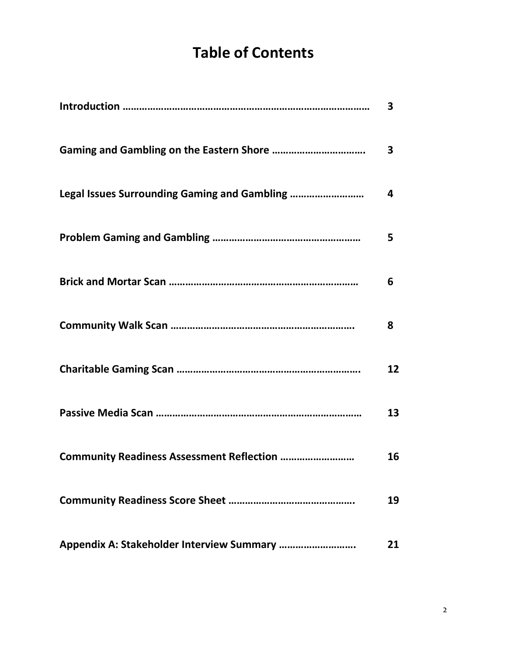# **Table of Contents**

|                                                   | 3            |
|---------------------------------------------------|--------------|
|                                                   | $\mathbf{3}$ |
|                                                   | 4            |
|                                                   | 5            |
|                                                   | 6            |
|                                                   | 8            |
|                                                   | 12           |
|                                                   | 13           |
| <b>Community Readiness Assessment Reflection </b> | 16           |
|                                                   | 19           |
|                                                   | 21           |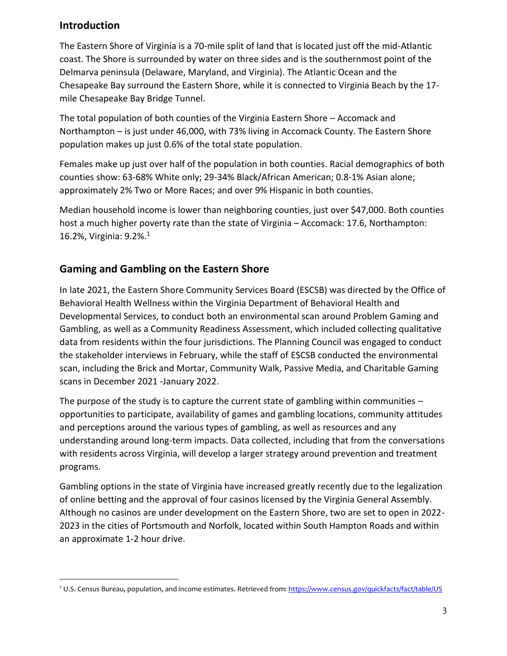## **Introduction**

The Eastern Shore of Virginia is a 70-mile split of land that is located just off the mid-Atlantic coast. The Shore is surrounded by water on three sides and is the southernmost point of the Delmarva peninsula (Delaware, Maryland, and Virginia). The Atlantic Ocean and the Chesapeake Bay surround the Eastern Shore, while it is connected to Virginia Beach by the 17 mile Chesapeake Bay Bridge Tunnel.

The total population of both counties of the Virginia Eastern Shore – Accomack and Northampton – is just under 46,000, with 73% living in Accomack County. The Eastern Shore population makes up just 0.6% of the total state population.

Females make up just over half of the population in both counties. Racial demographics of both counties show: 63-68% White only; 29-34% Black/African American; 0.8-1% Asian alone; approximately 2% Two or More Races; and over 9% Hispanic in both counties.

Median household income is lower than neighboring counties, just over \$47,000. Both counties host a much higher poverty rate than the state of Virginia – Accomack: 17.6, Northampton: 16.2%, Virginia: 9.2%.<sup>1</sup>

# **Gaming and Gambling on the Eastern Shore**

In late 2021, the Eastern Shore Community Services Board (ESCSB) was directed by the Office of Behavioral Health Wellness within the Virginia Department of Behavioral Health and Developmental Services, to conduct both an environmental scan around Problem Gaming and Gambling, as well as a Community Readiness Assessment, which included collecting qualitative data from residents within the four jurisdictions. The Planning Council was engaged to conduct the stakeholder interviews in February, while the staff of ESCSB conducted the environmental scan, including the Brick and Mortar, Community Walk, Passive Media, and Charitable Gaming scans in December 2021 -January 2022.

The purpose of the study is to capture the current state of gambling within communities  $$ opportunities to participate, availability of games and gambling locations, community attitudes and perceptions around the various types of gambling, as well as resources and any understanding around long-term impacts. Data collected, including that from the conversations with residents across Virginia, will develop a larger strategy around prevention and treatment programs.

Gambling options in the state of Virginia have increased greatly recently due to the legalization of online betting and the approval of four casinos licensed by the Virginia General Assembly. Although no casinos are under development on the Eastern Shore, two are set to open in 2022- 2023 in the cities of Portsmouth and Norfolk, located within South Hampton Roads and within an approximate 1-2 hour drive.

<sup>&</sup>lt;sup>1</sup> U.S. Census Bureau, population, and income estimates. Retrieved from[: https://www.census.gov/quickfacts/fact/table/US](https://www.census.gov/quickfacts/fact/table/US)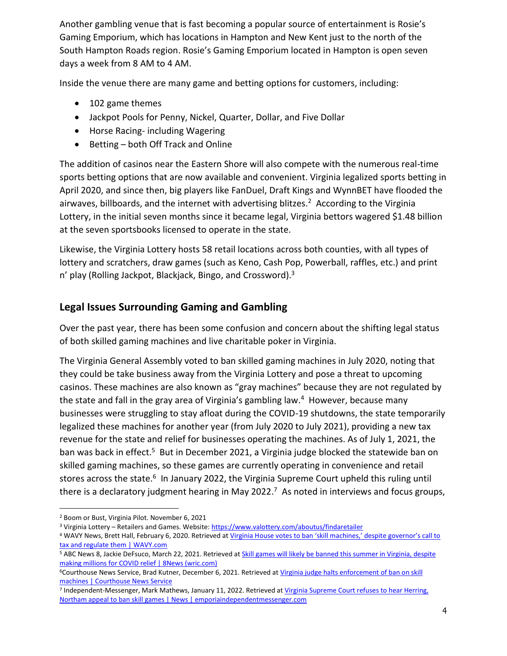Another gambling venue that is fast becoming a popular source of entertainment is Rosie's Gaming Emporium, which has locations in Hampton and New Kent just to the north of the South Hampton Roads region. Rosie's Gaming Emporium located in Hampton is open seven days a week from 8 AM to 4 AM.

Inside the venue there are many game and betting options for customers, including:

- 102 game themes
- Jackpot Pools for Penny, Nickel, Quarter, Dollar, and Five Dollar
- Horse Racing- including Wagering
- Betting both Off Track and Online

The addition of casinos near the Eastern Shore will also compete with the numerous real-time sports betting options that are now available and convenient. Virginia legalized sports betting in April 2020, and since then, big players like FanDuel, Draft Kings and WynnBET have flooded the airwaves, billboards, and the internet with advertising blitzes.<sup>2</sup> According to the Virginia Lottery, in the initial seven months since it became legal, Virginia bettors wagered \$1.48 billion at the seven sportsbooks licensed to operate in the state.

Likewise, the Virginia Lottery hosts 58 retail locations across both counties, with all types of lottery and scratchers, draw games (such as Keno, Cash Pop, Powerball, raffles, etc.) and print  $n'$  play (Rolling Jackpot, Blackjack, Bingo, and Crossword).<sup>3</sup>

# **Legal Issues Surrounding Gaming and Gambling**

Over the past year, there has been some confusion and concern about the shifting legal status of both skilled gaming machines and live charitable poker in Virginia.

The Virginia General Assembly voted to ban skilled gaming machines in July 2020, noting that they could be take business away from the Virginia Lottery and pose a threat to upcoming casinos. These machines are also known as "gray machines" because they are not regulated by the state and fall in the gray area of Virginia's gambling law.<sup>4</sup> However, because many businesses were struggling to stay afloat during the COVID-19 shutdowns, the state temporarily legalized these machines for another year (from July 2020 to July 2021), providing a new tax revenue for the state and relief for businesses operating the machines. As of July 1, 2021, the ban was back in effect.<sup>5</sup> But in December 2021, a Virginia judge blocked the statewide ban on skilled gaming machines, so these games are currently operating in convenience and retail stores across the state.<sup>6</sup> In January 2022, the Virginia Supreme Court upheld this ruling until there is a declaratory judgment hearing in May 2022.<sup>7</sup> As noted in interviews and focus groups,

<sup>2</sup> Boom or Bust, Virginia Pilot. November 6, 2021

<sup>3</sup> Virginia Lottery – Retailers and Games. Website[: https://www.valottery.com/aboutus/findaretailer](https://www.valottery.com/aboutus/findaretailer)

<sup>4</sup> WAVY News, Brett Hall, February 6, 2020. Retrieved at Virginia House votes to ban 'skill machines,' despite governor's call to [tax and regulate them | WAVY.com](https://www.wavy.com/news/politics/virginia-politics/virginia-house-votes-to-ban-skill-machines-despite-governors-call-to-tax-and-regulate-them/#:~:text=Often%20found%20in%20bars%2C%20convenience%20stores%2C%20gas%20stations%2C,Review%20Committee.%20They%20are%20not%20regulated%20or%20taxed.)

<sup>&</sup>lt;sup>5</sup> ABC News 8, Jackie DeFsuco, March 22, 2021. Retrieved at *Skill games will likely be banned this summer in Virginia, despite* [making millions for COVID relief | 8News \(wric.com\)](https://www.wric.com/news/politics/capitol-connection/skill-games-likely-to-be-banned-this-summer-in-virginia-despite-making-millions-for-covid-relief/)

<sup>6</sup>Courthouse News Service, Brad Kutner, December 6, 2021. Retrieved a[t Virginia judge halts enforcement of ban on skill](https://www.courthousenews.com/virginia-judge-halts-enforcement-of-ban-on-skill-machines/)  [machines | Courthouse News Service](https://www.courthousenews.com/virginia-judge-halts-enforcement-of-ban-on-skill-machines/)

<sup>&</sup>lt;sup>7</sup> Independent-Messenger, Mark Mathews, January 11, 2022. Retrieved at <u>Virginia Supreme Court refuses to hear Herring,</u> [Northam appeal to ban skill games | News | emporiaindependentmessenger.com](https://www.emporiaindependentmessenger.com/news/article_2d6239e8-72fc-11ec-9b5d-3f8d0834b219.html)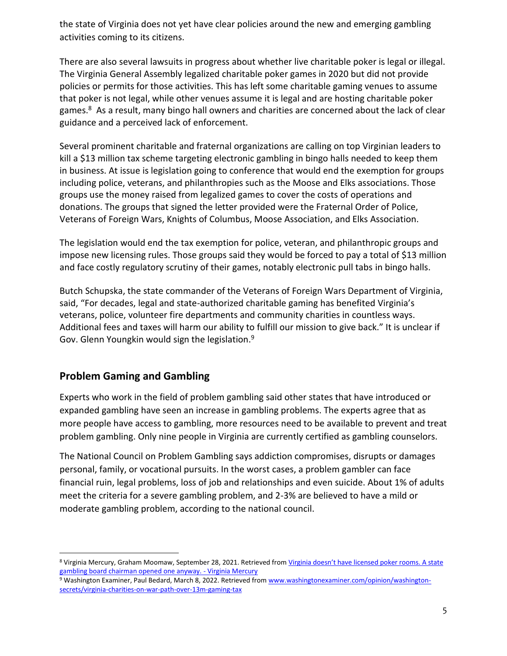the state of Virginia does not yet have clear policies around the new and emerging gambling activities coming to its citizens.

There are also several lawsuits in progress about whether live charitable poker is legal or illegal. The Virginia General Assembly legalized charitable poker games in 2020 but did not provide policies or permits for those activities. This has left some charitable gaming venues to assume that poker is not legal, while other venues assume it is legal and are hosting charitable poker games.<sup>8</sup> As a result, many bingo hall owners and charities are concerned about the lack of clear guidance and a perceived lack of enforcement.

Several prominent charitable and fraternal organizations are calling on top Virginian leaders to kill a \$13 million tax scheme targeting electronic gambling in bingo halls needed to keep them in business. At issue is legislation going to conference that would end the exemption for groups including police, veterans, and philanthropies such as the Moose and Elks associations. Those groups use the money raised from legalized games to cover the costs of operations [and](https://theroanoker.com/blogging/behind-the-page/vinton-moose-lodge-donates-10000-to-vetshouse/)  [donations.](https://theroanoker.com/blogging/behind-the-page/vinton-moose-lodge-donates-10000-to-vetshouse/) The groups that signed the letter provided were the Fraternal Order of Police, Veterans of Foreign Wars, Knights of Columbus, Moose Association, and Elks Association.

The legislation would end the tax exemption for police, veteran, and philanthropic groups and impose new licensing rules. Those groups said they would be forced to pay a total of \$13 million and face costly regulatory scrutiny of their games, notably electronic pull tabs in bingo halls.

Butch Schupska, the state commander of the Veterans of Foreign Wars Department of Virginia, said, "For decades, legal and state-authorized charitable gaming has benefited Virginia's veterans, police, volunteer fire departments and community charities in countless ways. Additional fees and taxes will harm our ability to fulfill our mission to give back." It is unclear if Gov. Glenn Youngkin would sign the legislation.<sup>9</sup>

# **Problem Gaming and Gambling**

Experts who work in the field of problem gambling said other states that have introduced or expanded gambling have seen an increase in gambling problems. The experts agree that as more people have access to gambling, more resources need to be available to prevent and treat problem gambling. Only nine people in Virginia are currently certified as gambling counselors.

The National Council on Problem Gambling says addiction compromises, disrupts or damages personal, family, or vocational pursuits. In the worst cases, a problem gambler can face financial ruin, legal problems, loss of job and relationships and even suicide. About 1% of adults meet the criteria for a severe gambling problem, and 2-3% are believed to have a mild or moderate gambling problem, according to the national council.

<sup>8</sup> Virginia Mercury, Graham Moomaw, September 28, 2021. Retrieved from [Virginia doesn't have licensed poker rooms. A state](https://www.virginiamercury.com/2021/09/28/virginia-doesnt-have-licensed-poker-rooms-a-state-gambling-board-chairman-opened-one-anyway/)  [gambling board chairman opened one anyway. -](https://www.virginiamercury.com/2021/09/28/virginia-doesnt-have-licensed-poker-rooms-a-state-gambling-board-chairman-opened-one-anyway/) Virginia Mercury

<sup>9</sup> Washington Examiner, Paul Bedard, March 8, 2022. Retrieved fro[m www.washingtonexaminer.com/opinion/washington](http://www.washingtonexaminer.com/opinion/washington-secrets/virginia-charities-on-war-path-over-13m-gaming-tax)[secrets/virginia-charities-on-war-path-over-13m-gaming-tax](http://www.washingtonexaminer.com/opinion/washington-secrets/virginia-charities-on-war-path-over-13m-gaming-tax)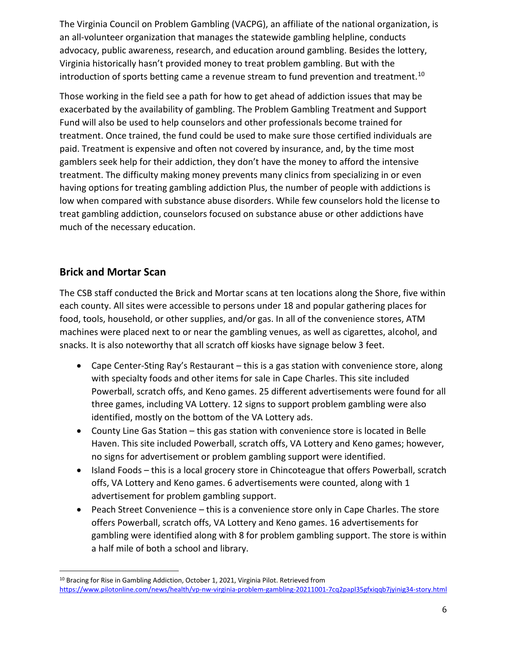The Virginia Council on Problem Gambling (VACPG), an affiliate of the national organization, is an all-volunteer organization that manages the statewide gambling helpline, conducts advocacy, public awareness, research, and education around gambling. Besides the lottery, Virginia historically hasn't provided money to treat problem gambling. But with the introduction of sports betting came a revenue stream to fund prevention and treatment.<sup>10</sup>

Those working in the field see a path for how to get ahead of addiction issues that may be exacerbated by the availability of gambling. The Problem Gambling Treatment and Support Fund will also be used to help counselors and other professionals become trained for treatment. Once trained, the fund could be used to make sure those certified individuals are paid. Treatment is expensive and often not covered by insurance, and, by the time most gamblers seek help for their addiction, they don't have the money to afford the intensive treatment. The difficulty making money prevents many clinics from specializing in or even having options for treating gambling addiction Plus, the number of people with addictions is low when compared with substance abuse disorders. While few counselors hold the license to treat gambling addiction, counselors focused on substance abuse or other addictions have much of the necessary education.

# **Brick and Mortar Scan**

The CSB staff conducted the Brick and Mortar scans at ten locations along the Shore, five within each county. All sites were accessible to persons under 18 and popular gathering places for food, tools, household, or other supplies, and/or gas. In all of the convenience stores, ATM machines were placed next to or near the gambling venues, as well as cigarettes, alcohol, and snacks. It is also noteworthy that all scratch off kiosks have signage below 3 feet.

- Cape Center-Sting Ray's Restaurant this is a gas station with convenience store, along with specialty foods and other items for sale in Cape Charles. This site included Powerball, scratch offs, and Keno games. 25 different advertisements were found for all three games, including VA Lottery. 12 signs to support problem gambling were also identified, mostly on the bottom of the VA Lottery ads.
- County Line Gas Station this gas station with convenience store is located in Belle Haven. This site included Powerball, scratch offs, VA Lottery and Keno games; however, no signs for advertisement or problem gambling support were identified.
- Island Foods this is a local grocery store in Chincoteague that offers Powerball, scratch offs, VA Lottery and Keno games. 6 advertisements were counted, along with 1 advertisement for problem gambling support.
- Peach Street Convenience this is a convenience store only in Cape Charles. The store offers Powerball, scratch offs, VA Lottery and Keno games. 16 advertisements for gambling were identified along with 8 for problem gambling support. The store is within a half mile of both a school and library.

<sup>10</sup> Bracing for Rise in Gambling Addiction, October 1, 2021, Virginia Pilot. Retrieved from <https://www.pilotonline.com/news/health/vp-nw-virginia-problem-gambling-20211001-7cq2papl35gfxiqqb7jyinig34-story.html>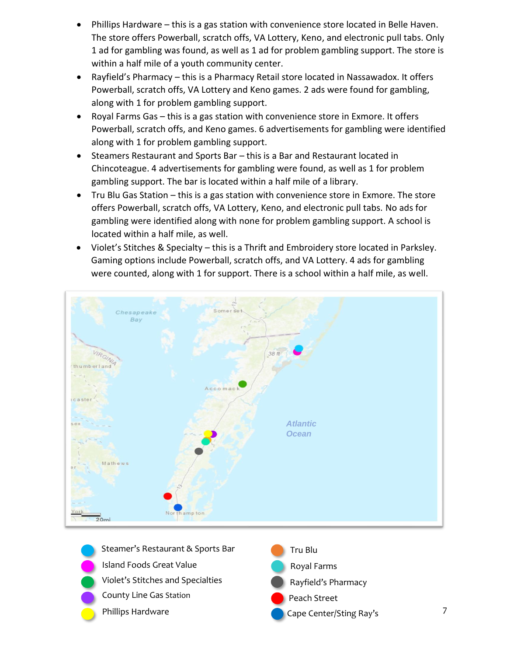- Phillips Hardware this is a gas station with convenience store located in Belle Haven. The store offers Powerball, scratch offs, VA Lottery, Keno, and electronic pull tabs. Only 1 ad for gambling was found, as well as 1 ad for problem gambling support. The store is within a half mile of a youth community center.
- Rayfield's Pharmacy this is a Pharmacy Retail store located in Nassawadox. It offers Powerball, scratch offs, VA Lottery and Keno games. 2 ads were found for gambling, along with 1 for problem gambling support.
- Royal Farms Gas this is a gas station with convenience store in Exmore. It offers Powerball, scratch offs, and Keno games. 6 advertisements for gambling were identified along with 1 for problem gambling support.
- Steamers Restaurant and Sports Bar this is a Bar and Restaurant located in Chincoteague. 4 advertisements for gambling were found, as well as 1 for problem gambling support. The bar is located within a half mile of a library.
- Tru Blu Gas Station this is a gas station with convenience store in Exmore. The store offers Powerball, scratch offs, VA Lottery, Keno, and electronic pull tabs. No ads for gambling were identified along with none for problem gambling support. A school is located within a half mile, as well.
- Violet's Stitches & Specialty this is a Thrift and Embroidery store located in Parksley. Gaming options include Powerball, scratch offs, and VA Lottery. 4 ads for gambling were counted, along with 1 for support. There is a school within a half mile, as well.





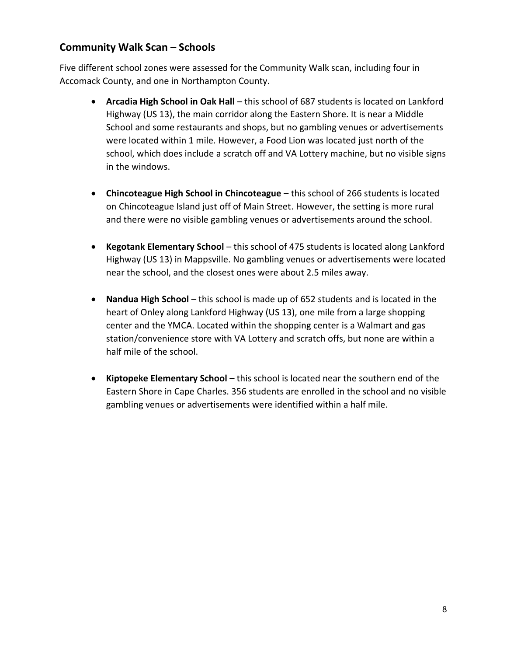## **Community Walk Scan – Schools**

Five different school zones were assessed for the Community Walk scan, including four in Accomack County, and one in Northampton County.

- **Arcadia High School in Oak Hall** this school of 687 students is located on Lankford Highway (US 13), the main corridor along the Eastern Shore. It is near a Middle School and some restaurants and shops, but no gambling venues or advertisements were located within 1 mile. However, a Food Lion was located just north of the school, which does include a scratch off and VA Lottery machine, but no visible signs in the windows.
- **Chincoteague High School in Chincoteague** this school of 266 students is located on Chincoteague Island just off of Main Street. However, the setting is more rural and there were no visible gambling venues or advertisements around the school.
- **Kegotank Elementary School** this school of 475 students is located along Lankford Highway (US 13) in Mappsville. No gambling venues or advertisements were located near the school, and the closest ones were about 2.5 miles away.
- **Nandua High School** this school is made up of 652 students and is located in the heart of Onley along Lankford Highway (US 13), one mile from a large shopping center and the YMCA. Located within the shopping center is a Walmart and gas station/convenience store with VA Lottery and scratch offs, but none are within a half mile of the school.
- **Kiptopeke Elementary School** this school is located near the southern end of the Eastern Shore in Cape Charles. 356 students are enrolled in the school and no visible gambling venues or advertisements were identified within a half mile.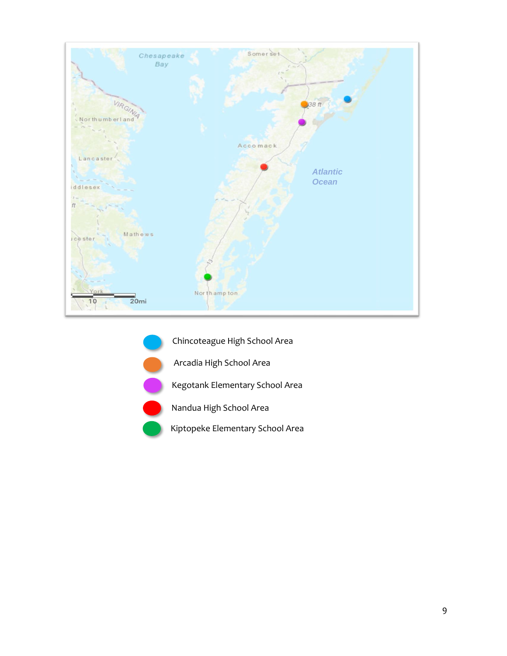

- Chincoteague High School Area
	- Arcadia High School Area

Kegotank Elementary School Area



Nandua High School Area

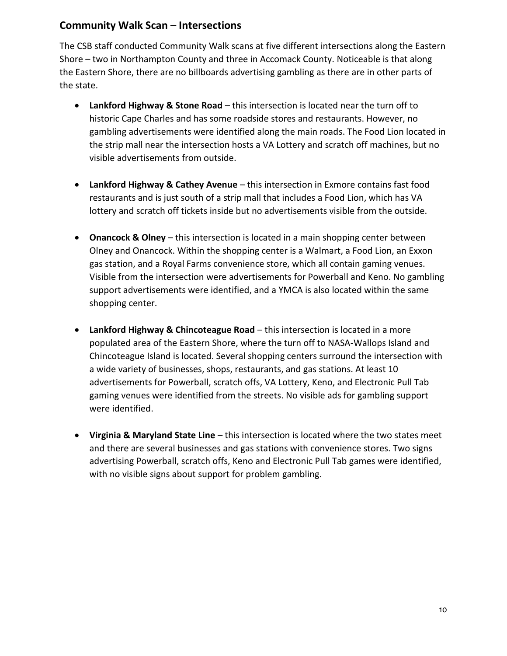### **Community Walk Scan – Intersections**

The CSB staff conducted Community Walk scans at five different intersections along the Eastern Shore – two in Northampton County and three in Accomack County. Noticeable is that along the Eastern Shore, there are no billboards advertising gambling as there are in other parts of the state.

- **Lankford Highway & Stone Road** this intersection is located near the turn off to historic Cape Charles and has some roadside stores and restaurants. However, no gambling advertisements were identified along the main roads. The Food Lion located in the strip mall near the intersection hosts a VA Lottery and scratch off machines, but no visible advertisements from outside.
- **Lankford Highway & Cathey Avenue** this intersection in Exmore contains fast food restaurants and is just south of a strip mall that includes a Food Lion, which has VA lottery and scratch off tickets inside but no advertisements visible from the outside.
- **Onancock & Olney** this intersection is located in a main shopping center between Olney and Onancock. Within the shopping center is a Walmart, a Food Lion, an Exxon gas station, and a Royal Farms convenience store, which all contain gaming venues. Visible from the intersection were advertisements for Powerball and Keno. No gambling support advertisements were identified, and a YMCA is also located within the same shopping center.
- **Lankford Highway & Chincoteague Road** this intersection is located in a more populated area of the Eastern Shore, where the turn off to NASA-Wallops Island and Chincoteague Island is located. Several shopping centers surround the intersection with a wide variety of businesses, shops, restaurants, and gas stations. At least 10 advertisements for Powerball, scratch offs, VA Lottery, Keno, and Electronic Pull Tab gaming venues were identified from the streets. No visible ads for gambling support were identified.
- **Virginia & Maryland State Line** this intersection is located where the two states meet and there are several businesses and gas stations with convenience stores. Two signs advertising Powerball, scratch offs, Keno and Electronic Pull Tab games were identified, with no visible signs about support for problem gambling.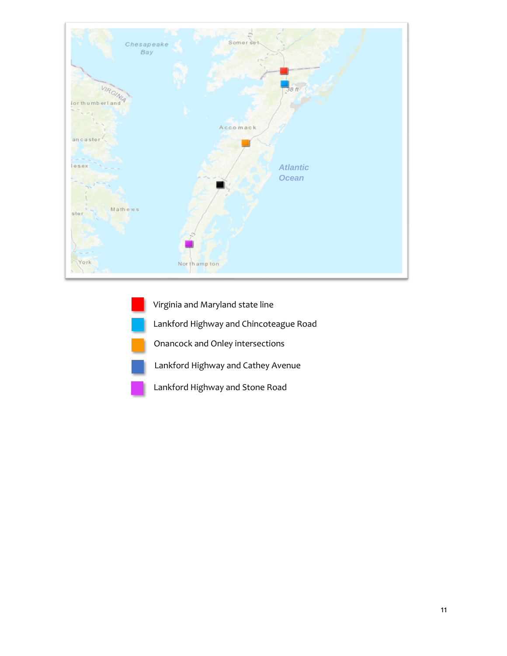

Virginia and Maryland state line Lankford Highway and Chincoteague Road Onancock and Onley intersections Lankford Highway and Cathey Avenue Lankford Highway and Stone Road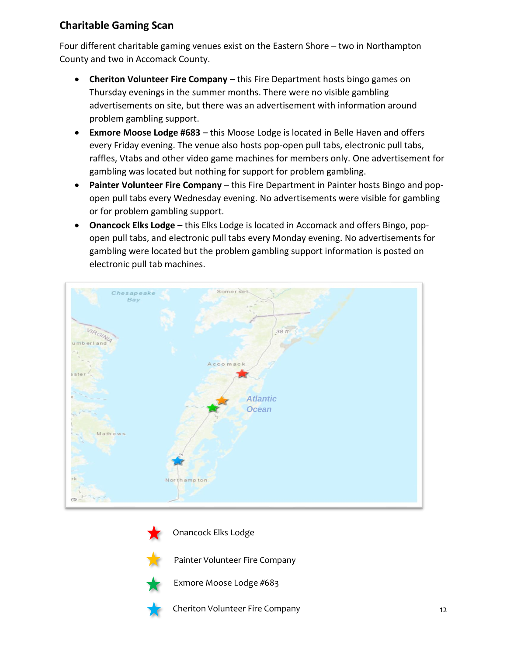# **Charitable Gaming Scan**

Four different charitable gaming venues exist on the Eastern Shore – two in Northampton County and two in Accomack County.

- **Cheriton Volunteer Fire Company** this Fire Department hosts bingo games on Thursday evenings in the summer months. There were no visible gambling advertisements on site, but there was an advertisement with information around problem gambling support.
- **Exmore Moose Lodge #683** this Moose Lodge is located in Belle Haven and offers every Friday evening. The venue also hosts pop-open pull tabs, electronic pull tabs, raffles, Vtabs and other video game machines for members only. One advertisement for gambling was located but nothing for support for problem gambling.
- **Painter Volunteer Fire Company** this Fire Department in Painter hosts Bingo and popopen pull tabs every Wednesday evening. No advertisements were visible for gambling or for problem gambling support.
- **Onancock Elks Lodge** this Elks Lodge is located in Accomack and offers Bingo, popopen pull tabs, and electronic pull tabs every Monday evening. No advertisements for gambling were located but the problem gambling support information is posted on electronic pull tab machines.





Onancock Elks Lodge



Painter Volunteer Fire Company



Exmore Moose Lodge #683



Cheriton Volunteer Fire Company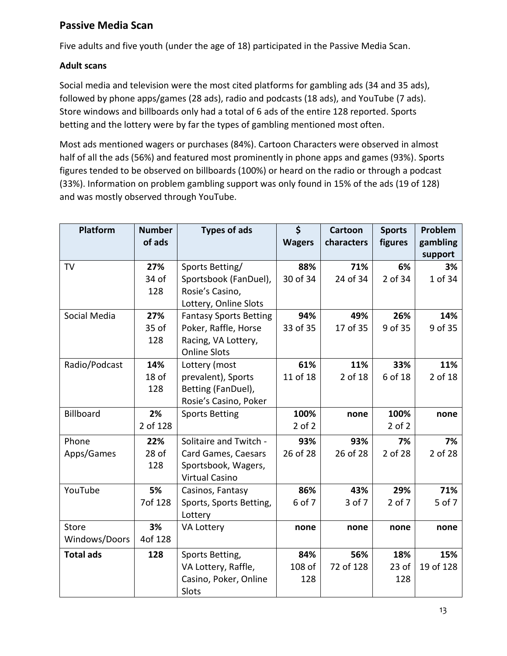# **Passive Media Scan**

Five adults and five youth (under the age of 18) participated in the Passive Media Scan.

### **Adult scans**

Social media and television were the most cited platforms for gambling ads (34 and 35 ads), followed by phone apps/games (28 ads), radio and podcasts (18 ads), and YouTube (7 ads). Store windows and billboards only had a total of 6 ads of the entire 128 reported. Sports betting and the lottery were by far the types of gambling mentioned most often.

Most ads mentioned wagers or purchases (84%). Cartoon Characters were observed in almost half of all the ads (56%) and featured most prominently in phone apps and games (93%). Sports figures tended to be observed on billboards (100%) or heard on the radio or through a podcast (33%). Information on problem gambling support was only found in 15% of the ads (19 of 128) and was mostly observed through YouTube.

| Platform         | <b>Number</b>          | <b>Types of ads</b>           | \$            | <b>Cartoon</b> | <b>Sports</b> | Problem   |
|------------------|------------------------|-------------------------------|---------------|----------------|---------------|-----------|
|                  | of ads                 |                               | <b>Wagers</b> | characters     | figures       | gambling  |
|                  |                        |                               |               |                |               | support   |
| <b>TV</b>        | 27%                    | Sports Betting/               | 88%           | 71%            | 6%            | 3%        |
|                  | 34 of                  | Sportsbook (FanDuel),         | 30 of 34      | 24 of 34       | 2 of 34       | 1 of 34   |
|                  | 128                    | Rosie's Casino,               |               |                |               |           |
|                  |                        | Lottery, Online Slots         |               |                |               |           |
| Social Media     | 27%                    | <b>Fantasy Sports Betting</b> | 94%           | 49%            | 26%           | 14%       |
|                  | 35 of                  | Poker, Raffle, Horse          | 33 of 35      | 17 of 35       | 9 of 35       | 9 of 35   |
|                  | 128                    | Racing, VA Lottery,           |               |                |               |           |
|                  |                        | <b>Online Slots</b>           |               |                |               |           |
| Radio/Podcast    | 14%                    | Lottery (most                 | 61%           | 11%            | 33%           | 11%       |
|                  | 18 of                  | prevalent), Sports            | 11 of 18      | 2 of 18        | 6 of 18       | 2 of 18   |
|                  | 128                    | Betting (FanDuel),            |               |                |               |           |
|                  |                        | Rosie's Casino, Poker         |               |                |               |           |
| Billboard        | 2%                     | <b>Sports Betting</b>         | 100%          | none           | 100%          | none      |
|                  | 2 of 128               |                               | $2$ of $2$    |                | $2$ of $2$    |           |
| Phone            | 22%                    | Solitaire and Twitch -        | 93%           | 93%            | 7%            | 7%        |
| Apps/Games       | $28$ of                | Card Games, Caesars           | 26 of 28      | 26 of 28       | 2 of 28       | 2 of 28   |
|                  | 128                    | Sportsbook, Wagers,           |               |                |               |           |
|                  |                        | <b>Virtual Casino</b>         |               |                |               |           |
| YouTube          | 5%                     | Casinos, Fantasy              | 86%           | 43%            | 29%           | 71%       |
| 7of 128          |                        | Sports, Sports Betting,       | 6 of 7        | 3 of 7         | $2$ of $7$    | 5 of 7    |
|                  |                        | Lottery                       |               |                |               |           |
| Store            | 3%                     | VA Lottery                    | none          | none           | none          | none      |
| Windows/Doors    | 4of 128                |                               |               |                |               |           |
| <b>Total ads</b> | 128<br>Sports Betting, |                               | 84%           | 56%            | 18%           | 15%       |
|                  |                        | VA Lottery, Raffle,           | 108 of        | 72 of 128      | $23$ of       | 19 of 128 |
|                  |                        | Casino, Poker, Online         | 128           |                | 128           |           |
|                  |                        | Slots                         |               |                |               |           |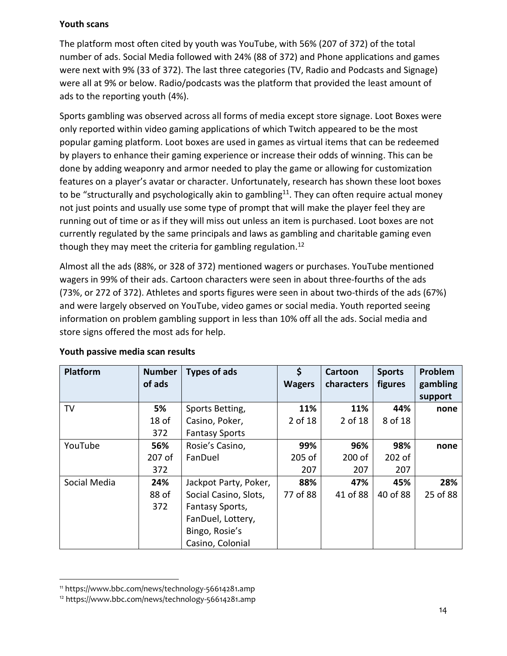### **Youth scans**

The platform most often cited by youth was YouTube, with 56% (207 of 372) of the total number of ads. Social Media followed with 24% (88 of 372) and Phone applications and games were next with 9% (33 of 372). The last three categories (TV, Radio and Podcasts and Signage) were all at 9% or below. Radio/podcasts was the platform that provided the least amount of ads to the reporting youth (4%).

Sports gambling was observed across all forms of media except store signage. Loot Boxes were only reported within video gaming applications of which Twitch appeared to be the most popular gaming platform. Loot boxes are used in games as virtual items that can be redeemed by players to enhance their gaming experience or increase their odds of winning. This can be done by adding weaponry and armor needed to play the game or allowing for customization features on a player's avatar or character. Unfortunately, research has shown these loot boxes to be "structurally and psychologically akin to gambling<sup>11</sup>. They can often require actual money not just points and usually use some type of prompt that will make the player feel they are running out of time or as if they will miss out unless an item is purchased. Loot boxes are not currently regulated by the same principals and laws as gambling and charitable gaming even though they may meet the criteria for gambling regulation.<sup>12</sup>

Almost all the ads (88%, or 328 of 372) mentioned wagers or purchases. YouTube mentioned wagers in 99% of their ads. Cartoon characters were seen in about three-fourths of the ads (73%, or 272 of 372). Athletes and sports figures were seen in about two-thirds of the ads (67%) and were largely observed on YouTube, video games or social media. Youth reported seeing information on problem gambling support in less than 10% off all the ads. Social media and store signs offered the most ads for help.

| <b>Platform</b> | <b>Number</b><br>of ads | <b>Types of ads</b>   | \$<br><b>Wagers</b> | <b>Cartoon</b><br>characters | <b>Sports</b><br>figures | Problem<br>gambling |
|-----------------|-------------------------|-----------------------|---------------------|------------------------------|--------------------------|---------------------|
|                 |                         |                       |                     |                              |                          | support             |
| TV              | 5%                      | Sports Betting,       | 11%                 | 11%                          | 44%                      | none                |
|                 | 18 <sub>of</sub>        | Casino, Poker,        | 2 of 18             | 2 of 18                      | 8 of 18                  |                     |
|                 | 372                     | <b>Fantasy Sports</b> |                     |                              |                          |                     |
| YouTube         | 56%                     | Rosie's Casino,       | 99%                 | 96%                          | 98%                      | none                |
|                 | 207 of                  | FanDuel               | 205 of              | 200 of                       | 202 of                   |                     |
|                 | 372                     |                       | 207                 | 207                          | 207                      |                     |
| Social Media    | 24%                     | Jackpot Party, Poker, | 88%                 | 47%                          | 45%                      | 28%                 |
|                 | 88 of                   | Social Casino, Slots, | 77 of 88            | 41 of 88                     | 40 of 88                 | 25 of 88            |
|                 | 372                     | Fantasy Sports,       |                     |                              |                          |                     |
|                 |                         | FanDuel, Lottery,     |                     |                              |                          |                     |
|                 |                         | Bingo, Rosie's        |                     |                              |                          |                     |
|                 |                         | Casino, Colonial      |                     |                              |                          |                     |

### **Youth passive media scan results**

<sup>11</sup> https://www.bbc.com/news/technology-56614281.amp

<sup>12</sup> https://www.bbc.com/news/technology-56614281.amp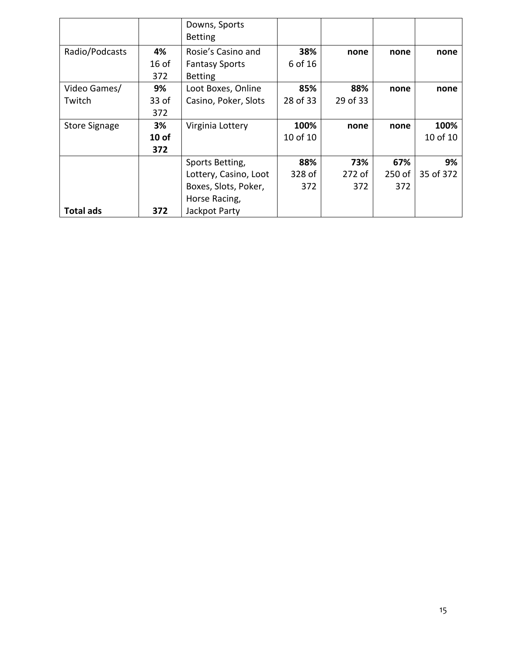|                      |         | Downs, Sports<br><b>Betting</b> |                      |        |        |           |
|----------------------|---------|---------------------------------|----------------------|--------|--------|-----------|
| Radio/Podcasts       | 4%      | Rosie's Casino and              | 38%                  | none   | none   | none      |
|                      | $16$ of | <b>Fantasy Sports</b>           | 6 of 16              |        |        |           |
|                      | 372     | <b>Betting</b>                  |                      |        |        |           |
| Video Games/         | 9%      | Loot Boxes, Online              | 85%                  | 88%    | none   | none      |
| Twitch               | 33 of   | Casino, Poker, Slots            | 28 of 33<br>29 of 33 |        |        |           |
|                      | 372     |                                 |                      |        |        |           |
| <b>Store Signage</b> | 3%      | Virginia Lottery                | 100%<br>none         |        | none   | 100%      |
|                      | $10$ of |                                 | 10 of 10             |        |        | 10 of 10  |
|                      | 372     |                                 |                      |        |        |           |
|                      |         | Sports Betting,                 | 88%                  | 73%    | 67%    | 9%        |
|                      |         | Lottery, Casino, Loot           | 328 of               | 272 of | 250 of | 35 of 372 |
|                      |         | Boxes, Slots, Poker,            | 372                  | 372    | 372    |           |
|                      |         | Horse Racing,                   |                      |        |        |           |
| <b>Total ads</b>     | 372     | Jackpot Party                   |                      |        |        |           |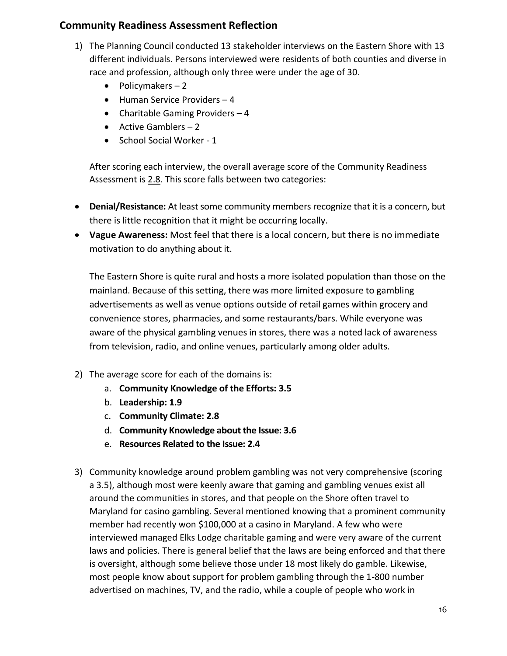## **Community Readiness Assessment Reflection**

- 1) The Planning Council conducted 13 stakeholder interviews on the Eastern Shore with 13 different individuals. Persons interviewed were residents of both counties and diverse in race and profession, although only three were under the age of 30.
	- Policymakers 2
	- Human Service Providers 4
	- Charitable Gaming Providers  $-4$
	- Active Gamblers  $-2$
	- School Social Worker 1

After scoring each interview, the overall average score of the Community Readiness Assessment is 2.8. This score falls between two categories:

- **Denial/Resistance:** At least some community members recognize that it is a concern, but there is little recognition that it might be occurring locally.
- **Vague Awareness:** Most feel that there is a local concern, but there is no immediate motivation to do anything about it.

The Eastern Shore is quite rural and hosts a more isolated population than those on the mainland. Because of this setting, there was more limited exposure to gambling advertisements as well as venue options outside of retail games within grocery and convenience stores, pharmacies, and some restaurants/bars. While everyone was aware of the physical gambling venues in stores, there was a noted lack of awareness from television, radio, and online venues, particularly among older adults.

- 2) The average score for each of the domains is:
	- a. **Community Knowledge of the Efforts: 3.5**
	- b. **Leadership: 1.9**
	- c. **Community Climate: 2.8**
	- d. **Community Knowledge about the Issue: 3.6**
	- e. **Resources Related to the Issue: 2.4**
- 3) Community knowledge around problem gambling was not very comprehensive (scoring a 3.5), although most were keenly aware that gaming and gambling venues exist all around the communities in stores, and that people on the Shore often travel to Maryland for casino gambling. Several mentioned knowing that a prominent community member had recently won \$100,000 at a casino in Maryland. A few who were interviewed managed Elks Lodge charitable gaming and were very aware of the current laws and policies. There is general belief that the laws are being enforced and that there is oversight, although some believe those under 18 most likely do gamble. Likewise, most people know about support for problem gambling through the 1-800 number advertised on machines, TV, and the radio, while a couple of people who work in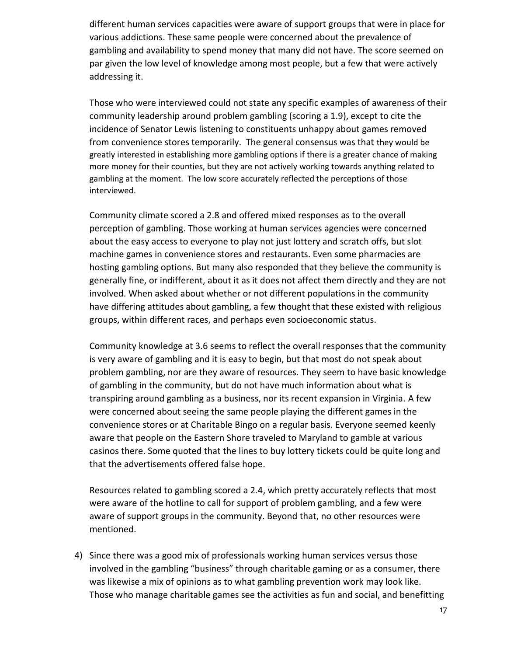different human services capacities were aware of support groups that were in place for various addictions. These same people were concerned about the prevalence of gambling and availability to spend money that many did not have. The score seemed on par given the low level of knowledge among most people, but a few that were actively addressing it.

Those who were interviewed could not state any specific examples of awareness of their community leadership around problem gambling (scoring a 1.9), except to cite the incidence of Senator Lewis listening to constituents unhappy about games removed from convenience stores temporarily. The general consensus was that they would be greatly interested in establishing more gambling options if there is a greater chance of making more money for their counties, but they are not actively working towards anything related to gambling at the moment. The low score accurately reflected the perceptions of those interviewed.

Community climate scored a 2.8 and offered mixed responses as to the overall perception of gambling. Those working at human services agencies were concerned about the easy access to everyone to play not just lottery and scratch offs, but slot machine games in convenience stores and restaurants. Even some pharmacies are hosting gambling options. But many also responded that they believe the community is generally fine, or indifferent, about it as it does not affect them directly and they are not involved. When asked about whether or not different populations in the community have differing attitudes about gambling, a few thought that these existed with religious groups, within different races, and perhaps even socioeconomic status.

Community knowledge at 3.6 seems to reflect the overall responses that the community is very aware of gambling and it is easy to begin, but that most do not speak about problem gambling, nor are they aware of resources. They seem to have basic knowledge of gambling in the community, but do not have much information about what is transpiring around gambling as a business, nor its recent expansion in Virginia. A few were concerned about seeing the same people playing the different games in the convenience stores or at Charitable Bingo on a regular basis. Everyone seemed keenly aware that people on the Eastern Shore traveled to Maryland to gamble at various casinos there. Some quoted that the lines to buy lottery tickets could be quite long and that the advertisements offered false hope.

Resources related to gambling scored a 2.4, which pretty accurately reflects that most were aware of the hotline to call for support of problem gambling, and a few were aware of support groups in the community. Beyond that, no other resources were mentioned.

4) Since there was a good mix of professionals working human services versus those involved in the gambling "business" through charitable gaming or as a consumer, there was likewise a mix of opinions as to what gambling prevention work may look like. Those who manage charitable games see the activities as fun and social, and benefitting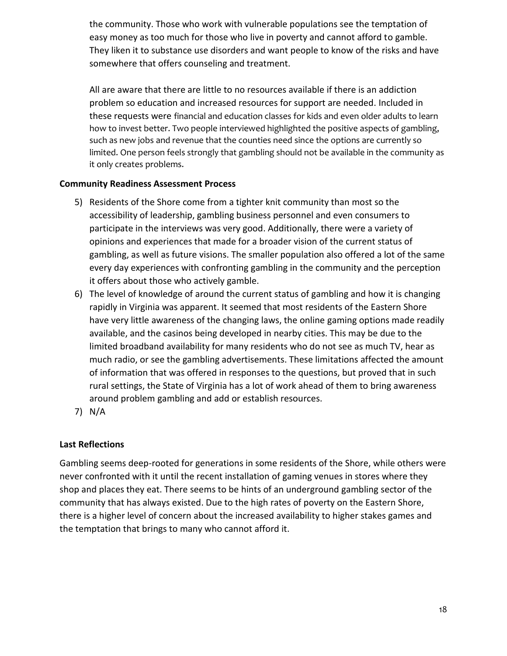the community. Those who work with vulnerable populations see the temptation of easy money as too much for those who live in poverty and cannot afford to gamble. They liken it to substance use disorders and want people to know of the risks and have somewhere that offers counseling and treatment.

All are aware that there are little to no resources available if there is an addiction problem so education and increased resources for support are needed. Included in these requests were financial and education classes for kids and even older adults to learn how to invest better. Two people interviewed highlighted the positive aspects of gambling, such as new jobs and revenue that the counties need since the options are currently so limited. One person feels strongly that gambling should not be available in the community as it only creates problems.

### **Community Readiness Assessment Process**

- 5) Residents of the Shore come from a tighter knit community than most so the accessibility of leadership, gambling business personnel and even consumers to participate in the interviews was very good. Additionally, there were a variety of opinions and experiences that made for a broader vision of the current status of gambling, as well as future visions. The smaller population also offered a lot of the same every day experiences with confronting gambling in the community and the perception it offers about those who actively gamble.
- 6) The level of knowledge of around the current status of gambling and how it is changing rapidly in Virginia was apparent. It seemed that most residents of the Eastern Shore have very little awareness of the changing laws, the online gaming options made readily available, and the casinos being developed in nearby cities. This may be due to the limited broadband availability for many residents who do not see as much TV, hear as much radio, or see the gambling advertisements. These limitations affected the amount of information that was offered in responses to the questions, but proved that in such rural settings, the State of Virginia has a lot of work ahead of them to bring awareness around problem gambling and add or establish resources.
- 7) N/A

### **Last Reflections**

Gambling seems deep-rooted for generations in some residents of the Shore, while others were never confronted with it until the recent installation of gaming venues in stores where they shop and places they eat. There seems to be hints of an underground gambling sector of the community that has always existed. Due to the high rates of poverty on the Eastern Shore, there is a higher level of concern about the increased availability to higher stakes games and the temptation that brings to many who cannot afford it.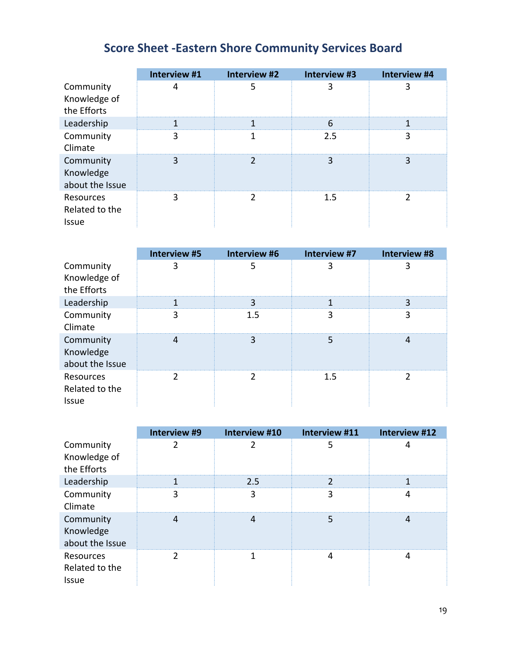# **Score Sheet -Eastern Shore Community Services Board**

|                                             | Interview #1 | Interview #2   | Interview #3 | Interview #4 |
|---------------------------------------------|--------------|----------------|--------------|--------------|
| Community<br>Knowledge of<br>the Efforts    | 4            | 5              | 3            | 3            |
| Leadership                                  | 1            |                | 6            |              |
| Community<br>Climate                        | 3            |                | 2.5          | 3            |
| Community<br>Knowledge<br>about the Issue   | 3            | $\overline{2}$ | 3            | 3            |
| Resources<br>Related to the<br><b>Issue</b> | 3            | $\mathcal{P}$  | 1.5          | 2            |

|                                             | Interview #5 | Interview #6 | Interview #7 | Interview #8  |
|---------------------------------------------|--------------|--------------|--------------|---------------|
| Community<br>Knowledge of<br>the Efforts    | 3            | 5            | 3            | 3             |
| Leadership                                  | 1            | 3            | 1            | 3             |
| Community<br>Climate                        | 3            | 1.5          | 3            | 3             |
| Community<br>Knowledge<br>about the Issue   | 4            | 3            | 5            | 4             |
| Resources<br>Related to the<br><b>Issue</b> | 2            | 2            | 1.5          | $\mathcal{P}$ |

|                                             | Interview #9 | Interview #10  | Interview #11 | Interview #12 |
|---------------------------------------------|--------------|----------------|---------------|---------------|
| Community<br>Knowledge of<br>the Efforts    | 2            | 2              | 5             | 4             |
| Leadership                                  | 1            | 2.5            | 2             |               |
| Community<br>Climate                        | 3            | 3              | 3             | 4             |
| Community<br>Knowledge<br>about the Issue   | 4            | $\overline{4}$ | 5             | 4             |
| Resources<br>Related to the<br><b>Issue</b> | 2            | 1              | 4             | 4             |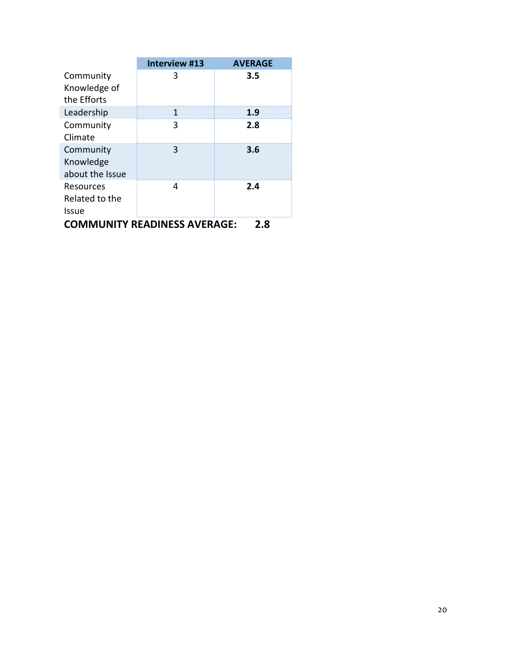|                                            | Interview #13 | <b>AVERAGE</b> |  |  |  |
|--------------------------------------------|---------------|----------------|--|--|--|
| Community                                  |               | 3.5            |  |  |  |
| Knowledge of                               |               |                |  |  |  |
| the Efforts                                |               |                |  |  |  |
| Leadership                                 |               | 1.9            |  |  |  |
| Community                                  | З             | 2.8            |  |  |  |
| Climate                                    |               |                |  |  |  |
| Community                                  | 3             | 3.6            |  |  |  |
| Knowledge                                  |               |                |  |  |  |
| about the Issue                            |               |                |  |  |  |
| Resources                                  |               | 2.4            |  |  |  |
| Related to the                             |               |                |  |  |  |
| Issue                                      |               |                |  |  |  |
| <b>COMMUNITY READINESS AVERAGE:</b><br>2.8 |               |                |  |  |  |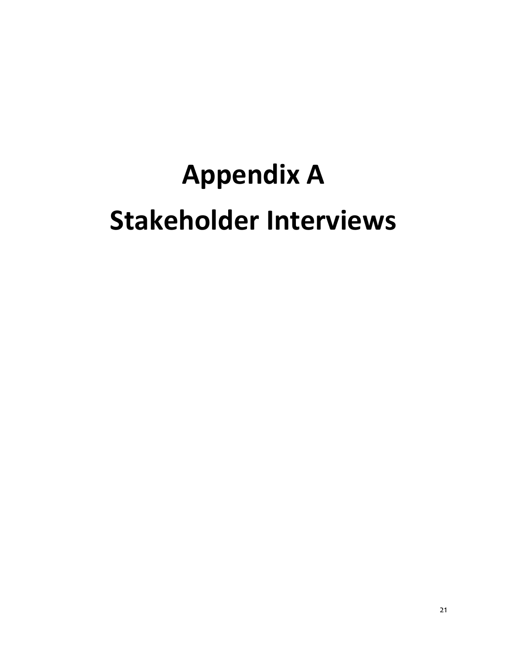# **Appendix A Stakeholder Interviews**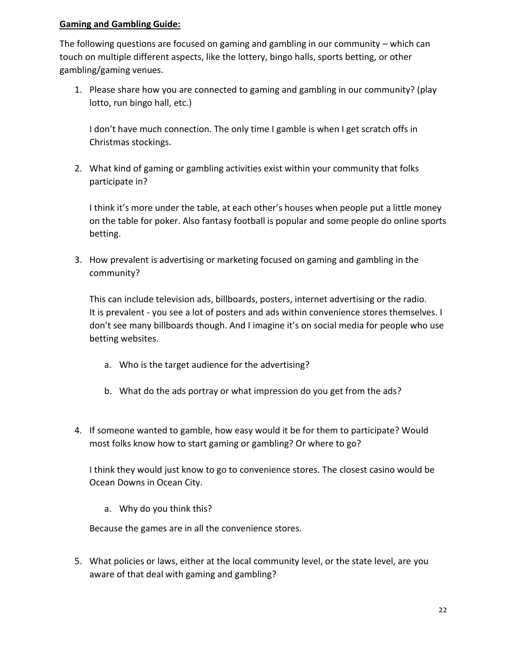The following questions are focused on gaming and gambling in our community – which can touch on multiple different aspects, like the lottery, bingo halls, sports betting, or other gambling/gaming venues.

1. Please share how you are connected to gaming and gambling in our community? (play lotto, run bingo hall, etc.)

I don't have much connection. The only time I gamble is when I get scratch offs in Christmas stockings.

2. What kind of gaming or gambling activities exist within your community that folks participate in?

I think it's more under the table, at each other's houses when people put a little money on the table for poker. Also fantasy football is popular and some people do online sports betting.

3. How prevalent is advertising or marketing focused on gaming and gambling in the community?

This can include television ads, billboards, posters, internet advertising or the radio. It is prevalent - you see a lot of posters and ads within convenience stores themselves. I don't see many billboards though. And I imagine it's on social media for people who use betting websites.

- a. Who is the target audience for the advertising?
- b. What do the ads portray or what impression do you get from the ads?
- 4. If someone wanted to gamble, how easy would it be for them to participate? Would most folks know how to start gaming or gambling? Or where to go?

I think they would just know to go to convenience stores. The closest casino would be Ocean Downs in Ocean City.

a. Why do you think this?

Because the games are in all the convenience stores.

5. What policies or laws, either at the local community level, or the state level, are you aware of that deal with gaming and gambling?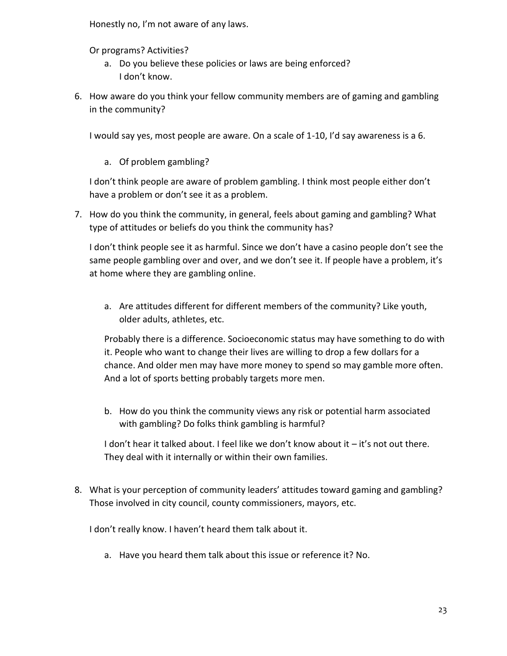Honestly no, I'm not aware of any laws.

Or programs? Activities?

- a. Do you believe these policies or laws are being enforced? I don't know.
- 6. How aware do you think your fellow community members are of gaming and gambling in the community?

I would say yes, most people are aware. On a scale of 1-10, I'd say awareness is a 6.

a. Of problem gambling?

I don't think people are aware of problem gambling. I think most people either don't have a problem or don't see it as a problem.

7. How do you think the community, in general, feels about gaming and gambling? What type of attitudes or beliefs do you think the community has?

I don't think people see it as harmful. Since we don't have a casino people don't see the same people gambling over and over, and we don't see it. If people have a problem, it's at home where they are gambling online.

a. Are attitudes different for different members of the community? Like youth, older adults, athletes, etc.

Probably there is a difference. Socioeconomic status may have something to do with it. People who want to change their lives are willing to drop a few dollars for a chance. And older men may have more money to spend so may gamble more often. And a lot of sports betting probably targets more men.

b. How do you think the community views any risk or potential harm associated with gambling? Do folks think gambling is harmful?

I don't hear it talked about. I feel like we don't know about it – it's not out there. They deal with it internally or within their own families.

8. What is your perception of community leaders' attitudes toward gaming and gambling? Those involved in city council, county commissioners, mayors, etc.

I don't really know. I haven't heard them talk about it.

a. Have you heard them talk about this issue or reference it? No.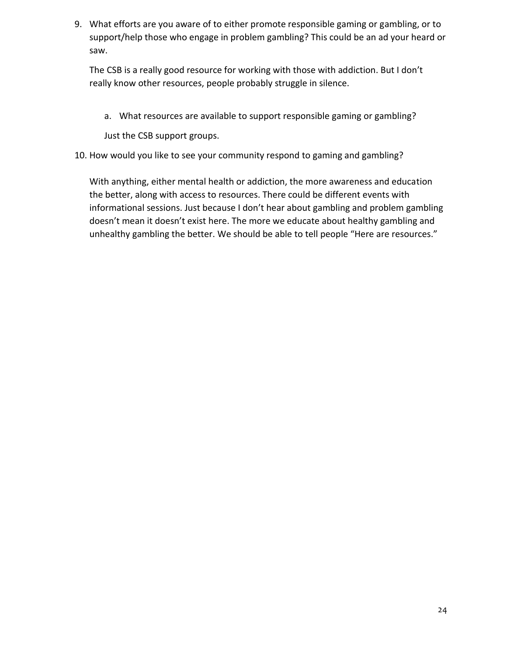9. What efforts are you aware of to either promote responsible gaming or gambling, or to support/help those who engage in problem gambling? This could be an ad your heard or saw.

The CSB is a really good resource for working with those with addiction. But I don't really know other resources, people probably struggle in silence.

a. What resources are available to support responsible gaming or gambling?

Just the CSB support groups.

10. How would you like to see your community respond to gaming and gambling?

With anything, either mental health or addiction, the more awareness and education the better, along with access to resources. There could be different events with informational sessions. Just because I don't hear about gambling and problem gambling doesn't mean it doesn't exist here. The more we educate about healthy gambling and unhealthy gambling the better. We should be able to tell people "Here are resources."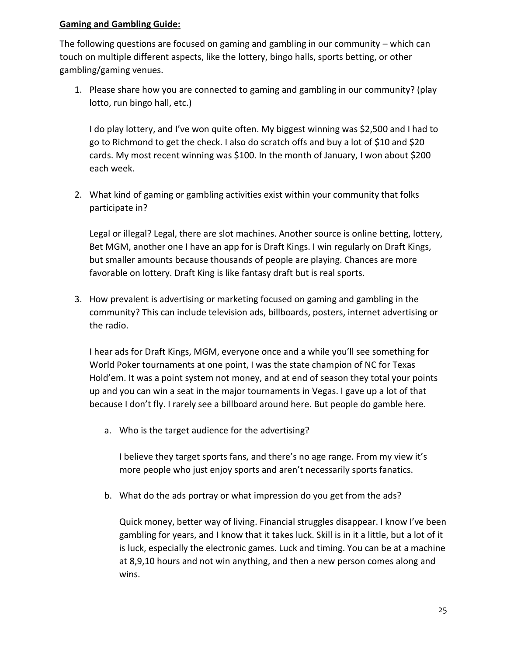The following questions are focused on gaming and gambling in our community – which can touch on multiple different aspects, like the lottery, bingo halls, sports betting, or other gambling/gaming venues.

1. Please share how you are connected to gaming and gambling in our community? (play lotto, run bingo hall, etc.)

I do play lottery, and I've won quite often. My biggest winning was \$2,500 and I had to go to Richmond to get the check. I also do scratch offs and buy a lot of \$10 and \$20 cards. My most recent winning was \$100. In the month of January, I won about \$200 each week.

2. What kind of gaming or gambling activities exist within your community that folks participate in?

Legal or illegal? Legal, there are slot machines. Another source is online betting, lottery, Bet MGM, another one I have an app for is Draft Kings. I win regularly on Draft Kings, but smaller amounts because thousands of people are playing. Chances are more favorable on lottery. Draft King is like fantasy draft but is real sports.

3. How prevalent is advertising or marketing focused on gaming and gambling in the community? This can include television ads, billboards, posters, internet advertising or the radio.

I hear ads for Draft Kings, MGM, everyone once and a while you'll see something for World Poker tournaments at one point, I was the state champion of NC for Texas Hold'em. It was a point system not money, and at end of season they total your points up and you can win a seat in the major tournaments in Vegas. I gave up a lot of that because I don't fly. I rarely see a billboard around here. But people do gamble here.

a. Who is the target audience for the advertising?

I believe they target sports fans, and there's no age range. From my view it's more people who just enjoy sports and aren't necessarily sports fanatics.

b. What do the ads portray or what impression do you get from the ads?

Quick money, better way of living. Financial struggles disappear. I know I've been gambling for years, and I know that it takes luck. Skill is in it a little, but a lot of it is luck, especially the electronic games. Luck and timing. You can be at a machine at 8,9,10 hours and not win anything, and then a new person comes along and wins.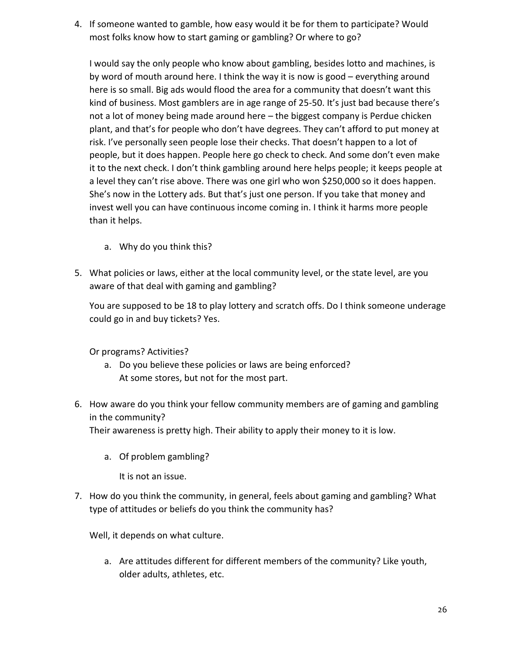4. If someone wanted to gamble, how easy would it be for them to participate? Would most folks know how to start gaming or gambling? Or where to go?

I would say the only people who know about gambling, besides lotto and machines, is by word of mouth around here. I think the way it is now is good – everything around here is so small. Big ads would flood the area for a community that doesn't want this kind of business. Most gamblers are in age range of 25-50. It's just bad because there's not a lot of money being made around here – the biggest company is Perdue chicken plant, and that's for people who don't have degrees. They can't afford to put money at risk. I've personally seen people lose their checks. That doesn't happen to a lot of people, but it does happen. People here go check to check. And some don't even make it to the next check. I don't think gambling around here helps people; it keeps people at a level they can't rise above. There was one girl who won \$250,000 so it does happen. She's now in the Lottery ads. But that's just one person. If you take that money and invest well you can have continuous income coming in. I think it harms more people than it helps.

- a. Why do you think this?
- 5. What policies or laws, either at the local community level, or the state level, are you aware of that deal with gaming and gambling?

You are supposed to be 18 to play lottery and scratch offs. Do I think someone underage could go in and buy tickets? Yes.

Or programs? Activities?

- a. Do you believe these policies or laws are being enforced? At some stores, but not for the most part.
- 6. How aware do you think your fellow community members are of gaming and gambling in the community?

Their awareness is pretty high. Their ability to apply their money to it is low.

a. Of problem gambling?

It is not an issue.

7. How do you think the community, in general, feels about gaming and gambling? What type of attitudes or beliefs do you think the community has?

Well, it depends on what culture.

a. Are attitudes different for different members of the community? Like youth, older adults, athletes, etc.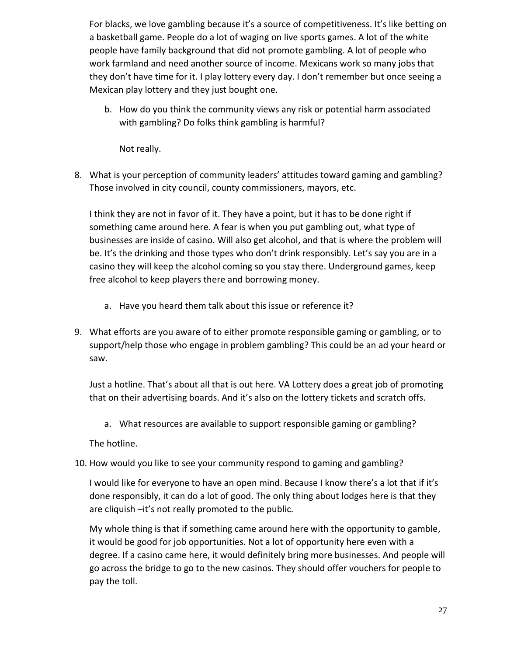For blacks, we love gambling because it's a source of competitiveness. It's like betting on a basketball game. People do a lot of waging on live sports games. A lot of the white people have family background that did not promote gambling. A lot of people who work farmland and need another source of income. Mexicans work so many jobs that they don't have time for it. I play lottery every day. I don't remember but once seeing a Mexican play lottery and they just bought one.

b. How do you think the community views any risk or potential harm associated with gambling? Do folks think gambling is harmful?

Not really.

8. What is your perception of community leaders' attitudes toward gaming and gambling? Those involved in city council, county commissioners, mayors, etc.

I think they are not in favor of it. They have a point, but it has to be done right if something came around here. A fear is when you put gambling out, what type of businesses are inside of casino. Will also get alcohol, and that is where the problem will be. It's the drinking and those types who don't drink responsibly. Let's say you are in a casino they will keep the alcohol coming so you stay there. Underground games, keep free alcohol to keep players there and borrowing money.

- a. Have you heard them talk about this issue or reference it?
- 9. What efforts are you aware of to either promote responsible gaming or gambling, or to support/help those who engage in problem gambling? This could be an ad your heard or saw.

Just a hotline. That's about all that is out here. VA Lottery does a great job of promoting that on their advertising boards. And it's also on the lottery tickets and scratch offs.

a. What resources are available to support responsible gaming or gambling?

The hotline.

10. How would you like to see your community respond to gaming and gambling?

I would like for everyone to have an open mind. Because I know there's a lot that if it's done responsibly, it can do a lot of good. The only thing about lodges here is that they are cliquish –it's not really promoted to the public.

My whole thing is that if something came around here with the opportunity to gamble, it would be good for job opportunities. Not a lot of opportunity here even with a degree. If a casino came here, it would definitely bring more businesses. And people will go across the bridge to go to the new casinos. They should offer vouchers for people to pay the toll.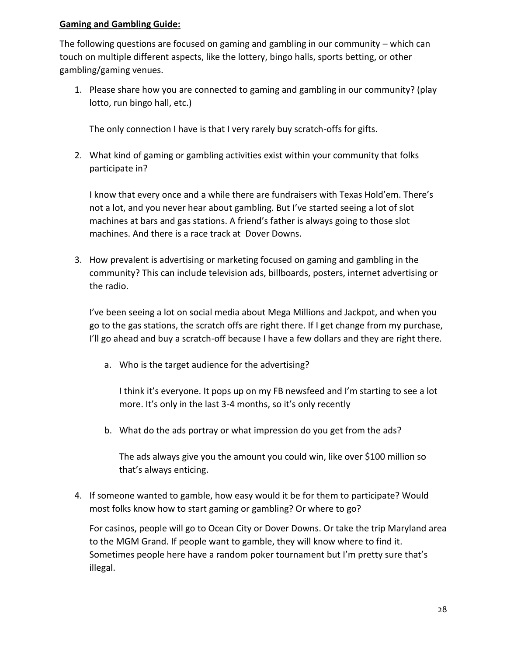The following questions are focused on gaming and gambling in our community – which can touch on multiple different aspects, like the lottery, bingo halls, sports betting, or other gambling/gaming venues.

1. Please share how you are connected to gaming and gambling in our community? (play lotto, run bingo hall, etc.)

The only connection I have is that I very rarely buy scratch-offs for gifts.

2. What kind of gaming or gambling activities exist within your community that folks participate in?

I know that every once and a while there are fundraisers with Texas Hold'em. There's not a lot, and you never hear about gambling. But I've started seeing a lot of slot machines at bars and gas stations. A friend's father is always going to those slot machines. And there is a race track at Dover Downs.

3. How prevalent is advertising or marketing focused on gaming and gambling in the community? This can include television ads, billboards, posters, internet advertising or the radio.

I've been seeing a lot on social media about Mega Millions and Jackpot, and when you go to the gas stations, the scratch offs are right there. If I get change from my purchase, I'll go ahead and buy a scratch-off because I have a few dollars and they are right there.

a. Who is the target audience for the advertising?

I think it's everyone. It pops up on my FB newsfeed and I'm starting to see a lot more. It's only in the last 3-4 months, so it's only recently

b. What do the ads portray or what impression do you get from the ads?

The ads always give you the amount you could win, like over \$100 million so that's always enticing.

4. If someone wanted to gamble, how easy would it be for them to participate? Would most folks know how to start gaming or gambling? Or where to go?

For casinos, people will go to Ocean City or Dover Downs. Or take the trip Maryland area to the MGM Grand. If people want to gamble, they will know where to find it. Sometimes people here have a random poker tournament but I'm pretty sure that's illegal.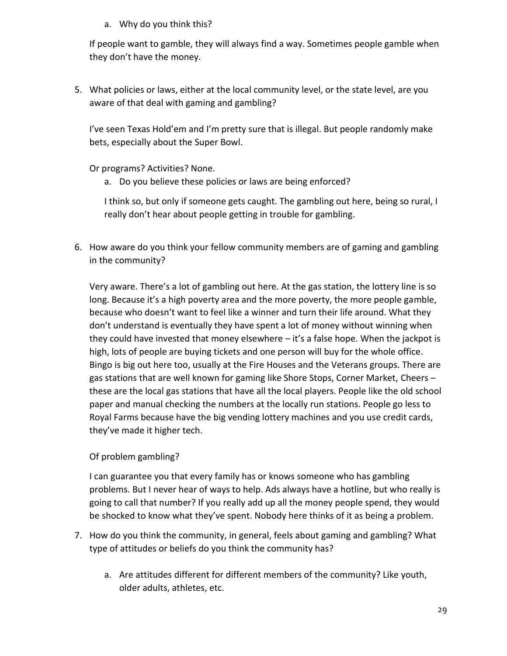a. Why do you think this?

If people want to gamble, they will always find a way. Sometimes people gamble when they don't have the money.

5. What policies or laws, either at the local community level, or the state level, are you aware of that deal with gaming and gambling?

I've seen Texas Hold'em and I'm pretty sure that is illegal. But people randomly make bets, especially about the Super Bowl.

Or programs? Activities? None.

a. Do you believe these policies or laws are being enforced?

I think so, but only if someone gets caught. The gambling out here, being so rural, I really don't hear about people getting in trouble for gambling.

6. How aware do you think your fellow community members are of gaming and gambling in the community?

Very aware. There's a lot of gambling out here. At the gas station, the lottery line is so long. Because it's a high poverty area and the more poverty, the more people gamble, because who doesn't want to feel like a winner and turn their life around. What they don't understand is eventually they have spent a lot of money without winning when they could have invested that money elsewhere – it's a false hope. When the jackpot is high, lots of people are buying tickets and one person will buy for the whole office. Bingo is big out here too, usually at the Fire Houses and the Veterans groups. There are gas stations that are well known for gaming like Shore Stops, Corner Market, Cheers – these are the local gas stations that have all the local players. People like the old school paper and manual checking the numbers at the locally run stations. People go less to Royal Farms because have the big vending lottery machines and you use credit cards, they've made it higher tech.

### Of problem gambling?

I can guarantee you that every family has or knows someone who has gambling problems. But I never hear of ways to help. Ads always have a hotline, but who really is going to call that number? If you really add up all the money people spend, they would be shocked to know what they've spent. Nobody here thinks of it as being a problem.

- 7. How do you think the community, in general, feels about gaming and gambling? What type of attitudes or beliefs do you think the community has?
	- a. Are attitudes different for different members of the community? Like youth, older adults, athletes, etc.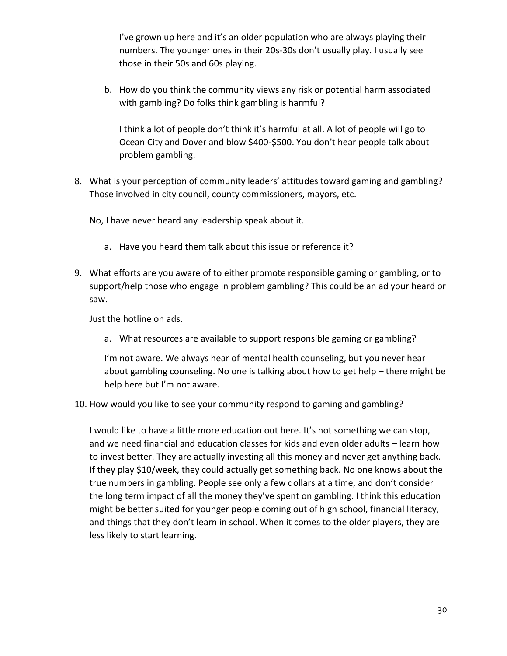I've grown up here and it's an older population who are always playing their numbers. The younger ones in their 20s-30s don't usually play. I usually see those in their 50s and 60s playing.

b. How do you think the community views any risk or potential harm associated with gambling? Do folks think gambling is harmful?

I think a lot of people don't think it's harmful at all. A lot of people will go to Ocean City and Dover and blow \$400-\$500. You don't hear people talk about problem gambling.

8. What is your perception of community leaders' attitudes toward gaming and gambling? Those involved in city council, county commissioners, mayors, etc.

No, I have never heard any leadership speak about it.

- a. Have you heard them talk about this issue or reference it?
- 9. What efforts are you aware of to either promote responsible gaming or gambling, or to support/help those who engage in problem gambling? This could be an ad your heard or saw.

Just the hotline on ads.

a. What resources are available to support responsible gaming or gambling?

I'm not aware. We always hear of mental health counseling, but you never hear about gambling counseling. No one is talking about how to get help – there might be help here but I'm not aware.

10. How would you like to see your community respond to gaming and gambling?

I would like to have a little more education out here. It's not something we can stop, and we need financial and education classes for kids and even older adults – learn how to invest better. They are actually investing all this money and never get anything back. If they play \$10/week, they could actually get something back. No one knows about the true numbers in gambling. People see only a few dollars at a time, and don't consider the long term impact of all the money they've spent on gambling. I think this education might be better suited for younger people coming out of high school, financial literacy, and things that they don't learn in school. When it comes to the older players, they are less likely to start learning.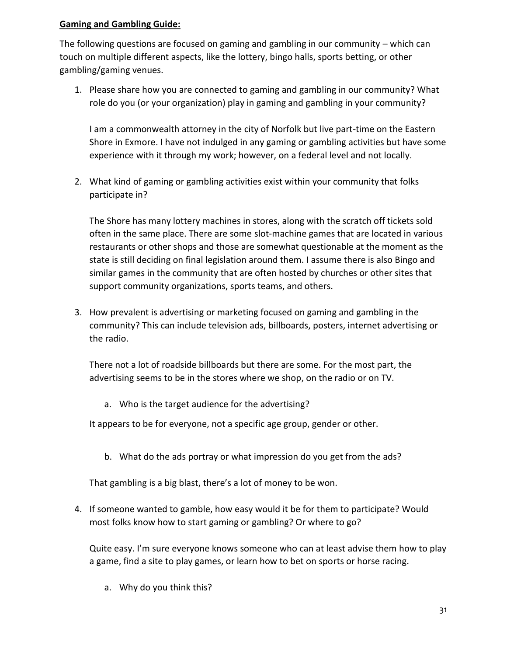The following questions are focused on gaming and gambling in our community – which can touch on multiple different aspects, like the lottery, bingo halls, sports betting, or other gambling/gaming venues.

1. Please share how you are connected to gaming and gambling in our community? What role do you (or your organization) play in gaming and gambling in your community?

I am a commonwealth attorney in the city of Norfolk but live part-time on the Eastern Shore in Exmore. I have not indulged in any gaming or gambling activities but have some experience with it through my work; however, on a federal level and not locally.

2. What kind of gaming or gambling activities exist within your community that folks participate in?

The Shore has many lottery machines in stores, along with the scratch off tickets sold often in the same place. There are some slot-machine games that are located in various restaurants or other shops and those are somewhat questionable at the moment as the state is still deciding on final legislation around them. I assume there is also Bingo and similar games in the community that are often hosted by churches or other sites that support community organizations, sports teams, and others.

3. How prevalent is advertising or marketing focused on gaming and gambling in the community? This can include television ads, billboards, posters, internet advertising or the radio.

There not a lot of roadside billboards but there are some. For the most part, the advertising seems to be in the stores where we shop, on the radio or on TV.

a. Who is the target audience for the advertising?

It appears to be for everyone, not a specific age group, gender or other.

b. What do the ads portray or what impression do you get from the ads?

That gambling is a big blast, there's a lot of money to be won.

4. If someone wanted to gamble, how easy would it be for them to participate? Would most folks know how to start gaming or gambling? Or where to go?

Quite easy. I'm sure everyone knows someone who can at least advise them how to play a game, find a site to play games, or learn how to bet on sports or horse racing.

a. Why do you think this?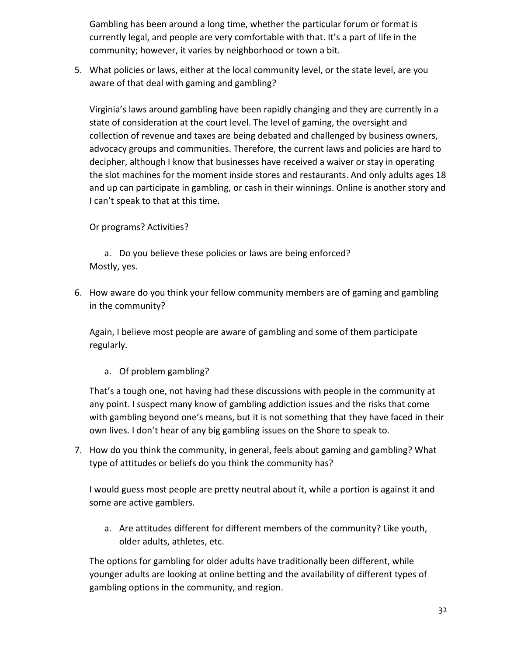Gambling has been around a long time, whether the particular forum or format is currently legal, and people are very comfortable with that. It's a part of life in the community; however, it varies by neighborhood or town a bit.

5. What policies or laws, either at the local community level, or the state level, are you aware of that deal with gaming and gambling?

Virginia's laws around gambling have been rapidly changing and they are currently in a state of consideration at the court level. The level of gaming, the oversight and collection of revenue and taxes are being debated and challenged by business owners, advocacy groups and communities. Therefore, the current laws and policies are hard to decipher, although I know that businesses have received a waiver or stay in operating the slot machines for the moment inside stores and restaurants. And only adults ages 18 and up can participate in gambling, or cash in their winnings. Online is another story and I can't speak to that at this time.

### Or programs? Activities?

a. Do you believe these policies or laws are being enforced? Mostly, yes.

6. How aware do you think your fellow community members are of gaming and gambling in the community?

Again, I believe most people are aware of gambling and some of them participate regularly.

a. Of problem gambling?

That's a tough one, not having had these discussions with people in the community at any point. I suspect many know of gambling addiction issues and the risks that come with gambling beyond one's means, but it is not something that they have faced in their own lives. I don't hear of any big gambling issues on the Shore to speak to.

7. How do you think the community, in general, feels about gaming and gambling? What type of attitudes or beliefs do you think the community has?

I would guess most people are pretty neutral about it, while a portion is against it and some are active gamblers.

a. Are attitudes different for different members of the community? Like youth, older adults, athletes, etc.

The options for gambling for older adults have traditionally been different, while younger adults are looking at online betting and the availability of different types of gambling options in the community, and region.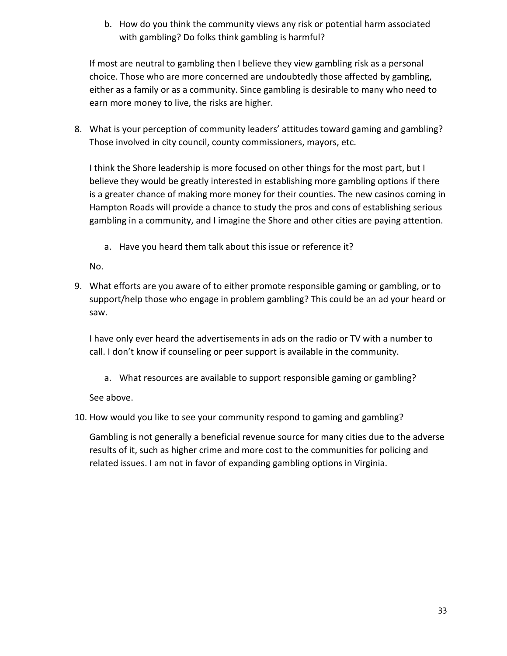b. How do you think the community views any risk or potential harm associated with gambling? Do folks think gambling is harmful?

If most are neutral to gambling then I believe they view gambling risk as a personal choice. Those who are more concerned are undoubtedly those affected by gambling, either as a family or as a community. Since gambling is desirable to many who need to earn more money to live, the risks are higher.

8. What is your perception of community leaders' attitudes toward gaming and gambling? Those involved in city council, county commissioners, mayors, etc.

I think the Shore leadership is more focused on other things for the most part, but I believe they would be greatly interested in establishing more gambling options if there is a greater chance of making more money for their counties. The new casinos coming in Hampton Roads will provide a chance to study the pros and cons of establishing serious gambling in a community, and I imagine the Shore and other cities are paying attention.

a. Have you heard them talk about this issue or reference it?

No.

9. What efforts are you aware of to either promote responsible gaming or gambling, or to support/help those who engage in problem gambling? This could be an ad your heard or saw.

I have only ever heard the advertisements in ads on the radio or TV with a number to call. I don't know if counseling or peer support is available in the community.

a. What resources are available to support responsible gaming or gambling?

See above.

10. How would you like to see your community respond to gaming and gambling?

Gambling is not generally a beneficial revenue source for many cities due to the adverse results of it, such as higher crime and more cost to the communities for policing and related issues. I am not in favor of expanding gambling options in Virginia.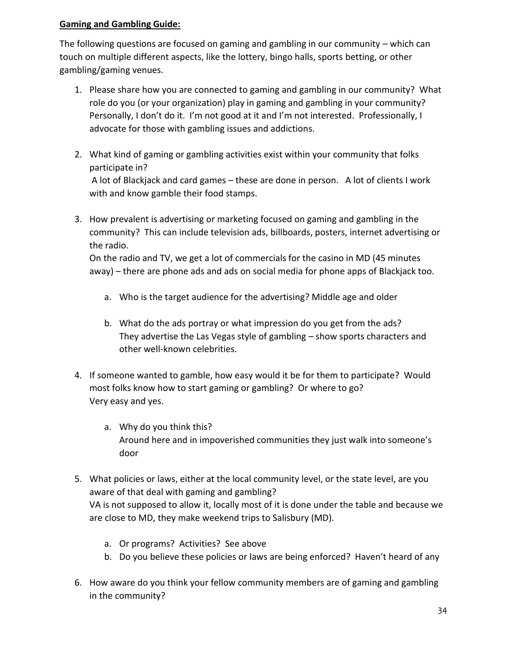The following questions are focused on gaming and gambling in our community – which can touch on multiple different aspects, like the lottery, bingo halls, sports betting, or other gambling/gaming venues.

- 1. Please share how you are connected to gaming and gambling in our community? What role do you (or your organization) play in gaming and gambling in your community? Personally, I don't do it. I'm not good at it and I'm not interested. Professionally, I advocate for those with gambling issues and addictions.
- 2. What kind of gaming or gambling activities exist within your community that folks participate in?

A lot of Blackjack and card games – these are done in person. A lot of clients I work with and know gamble their food stamps.

3. How prevalent is advertising or marketing focused on gaming and gambling in the community? This can include television ads, billboards, posters, internet advertising or the radio.

On the radio and TV, we get a lot of commercials for the casino in MD (45 minutes away) – there are phone ads and ads on social media for phone apps of Blackjack too.

- a. Who is the target audience for the advertising? Middle age and older
- b. What do the ads portray or what impression do you get from the ads? They advertise the Las Vegas style of gambling – show sports characters and other well-known celebrities.
- 4. If someone wanted to gamble, how easy would it be for them to participate? Would most folks know how to start gaming or gambling? Or where to go? Very easy and yes.
	- a. Why do you think this? Around here and in impoverished communities they just walk into someone's door
- 5. What policies or laws, either at the local community level, or the state level, are you aware of that deal with gaming and gambling? VA is not supposed to allow it, locally most of it is done under the table and because we are close to MD, they make weekend trips to Salisbury (MD).
	- a. Or programs? Activities? See above
	- b. Do you believe these policies or laws are being enforced? Haven't heard of any
- 6. How aware do you think your fellow community members are of gaming and gambling in the community?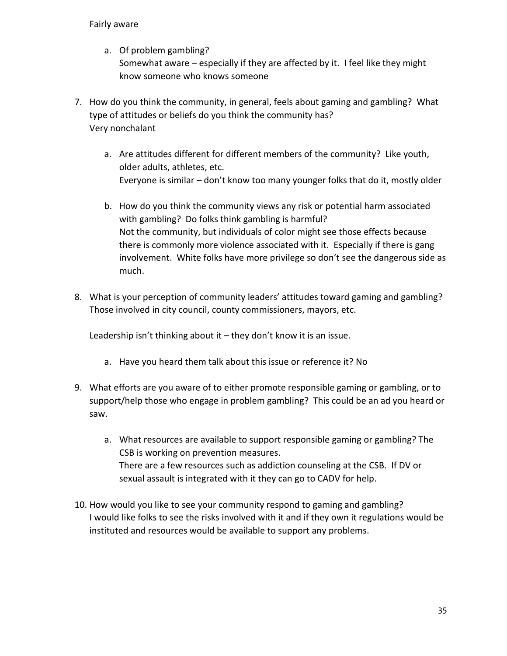#### Fairly aware

- a. Of problem gambling? Somewhat aware – especially if they are affected by it. I feel like they might know someone who knows someone
- 7. How do you think the community, in general, feels about gaming and gambling? What type of attitudes or beliefs do you think the community has? Very nonchalant
	- a. Are attitudes different for different members of the community? Like youth, older adults, athletes, etc. Everyone is similar – don't know too many younger folks that do it, mostly older
	- b. How do you think the community views any risk or potential harm associated with gambling? Do folks think gambling is harmful? Not the community, but individuals of color might see those effects because there is commonly more violence associated with it. Especially if there is gang involvement. White folks have more privilege so don't see the dangerous side as much.
- 8. What is your perception of community leaders' attitudes toward gaming and gambling? Those involved in city council, county commissioners, mayors, etc.

Leadership isn't thinking about it – they don't know it is an issue.

- a. Have you heard them talk about this issue or reference it? No
- 9. What efforts are you aware of to either promote responsible gaming or gambling, or to support/help those who engage in problem gambling? This could be an ad you heard or saw.
	- a. What resources are available to support responsible gaming or gambling? The CSB is working on prevention measures. There are a few resources such as addiction counseling at the CSB. If DV or sexual assault is integrated with it they can go to CADV for help.
- 10. How would you like to see your community respond to gaming and gambling? I would like folks to see the risks involved with it and if they own it regulations would be instituted and resources would be available to support any problems.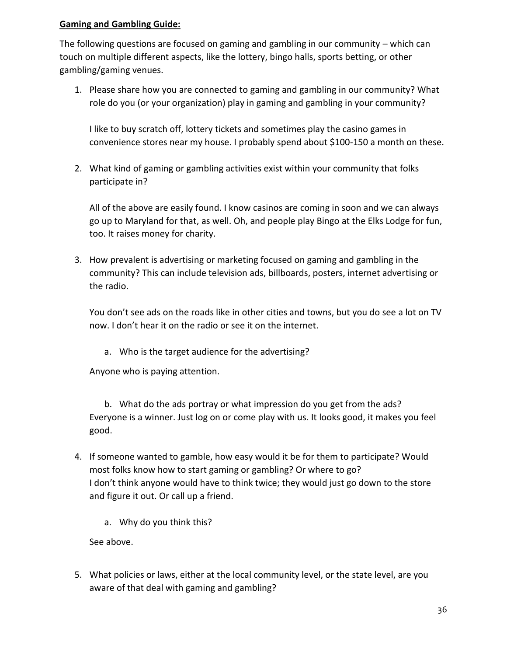The following questions are focused on gaming and gambling in our community – which can touch on multiple different aspects, like the lottery, bingo halls, sports betting, or other gambling/gaming venues.

1. Please share how you are connected to gaming and gambling in our community? What role do you (or your organization) play in gaming and gambling in your community?

I like to buy scratch off, lottery tickets and sometimes play the casino games in convenience stores near my house. I probably spend about \$100-150 a month on these.

2. What kind of gaming or gambling activities exist within your community that folks participate in?

All of the above are easily found. I know casinos are coming in soon and we can always go up to Maryland for that, as well. Oh, and people play Bingo at the Elks Lodge for fun, too. It raises money for charity.

3. How prevalent is advertising or marketing focused on gaming and gambling in the community? This can include television ads, billboards, posters, internet advertising or the radio.

You don't see ads on the roads like in other cities and towns, but you do see a lot on TV now. I don't hear it on the radio or see it on the internet.

a. Who is the target audience for the advertising?

Anyone who is paying attention.

b. What do the ads portray or what impression do you get from the ads? Everyone is a winner. Just log on or come play with us. It looks good, it makes you feel good.

- 4. If someone wanted to gamble, how easy would it be for them to participate? Would most folks know how to start gaming or gambling? Or where to go? I don't think anyone would have to think twice; they would just go down to the store and figure it out. Or call up a friend.
	- a. Why do you think this?

See above.

5. What policies or laws, either at the local community level, or the state level, are you aware of that deal with gaming and gambling?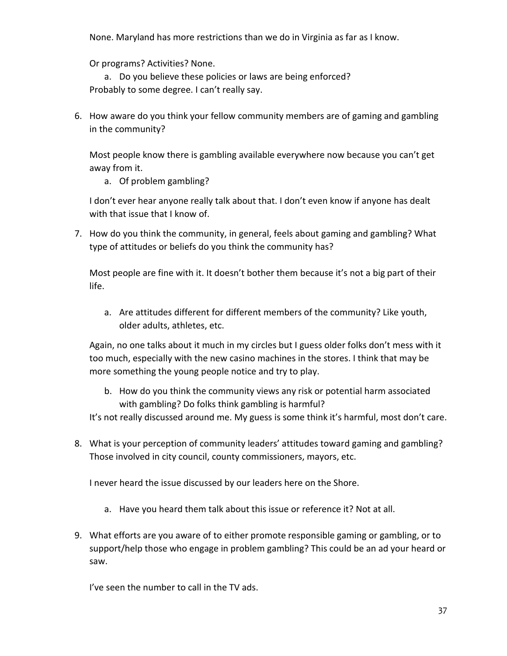None. Maryland has more restrictions than we do in Virginia as far as I know.

Or programs? Activities? None.

a. Do you believe these policies or laws are being enforced? Probably to some degree. I can't really say.

6. How aware do you think your fellow community members are of gaming and gambling in the community?

Most people know there is gambling available everywhere now because you can't get away from it.

a. Of problem gambling?

I don't ever hear anyone really talk about that. I don't even know if anyone has dealt with that issue that I know of.

7. How do you think the community, in general, feels about gaming and gambling? What type of attitudes or beliefs do you think the community has?

Most people are fine with it. It doesn't bother them because it's not a big part of their life.

a. Are attitudes different for different members of the community? Like youth, older adults, athletes, etc.

Again, no one talks about it much in my circles but I guess older folks don't mess with it too much, especially with the new casino machines in the stores. I think that may be more something the young people notice and try to play.

b. How do you think the community views any risk or potential harm associated with gambling? Do folks think gambling is harmful?

It's not really discussed around me. My guess is some think it's harmful, most don't care.

8. What is your perception of community leaders' attitudes toward gaming and gambling? Those involved in city council, county commissioners, mayors, etc.

I never heard the issue discussed by our leaders here on the Shore.

- a. Have you heard them talk about this issue or reference it? Not at all.
- 9. What efforts are you aware of to either promote responsible gaming or gambling, or to support/help those who engage in problem gambling? This could be an ad your heard or saw.

I've seen the number to call in the TV ads.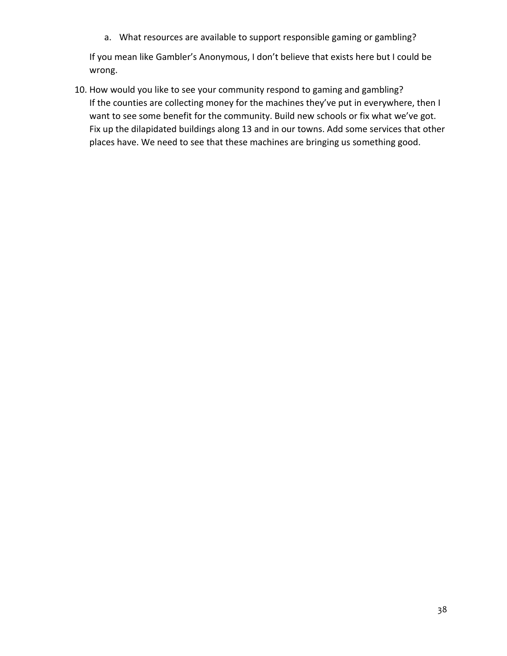a. What resources are available to support responsible gaming or gambling?

If you mean like Gambler's Anonymous, I don't believe that exists here but I could be wrong.

10. How would you like to see your community respond to gaming and gambling? If the counties are collecting money for the machines they've put in everywhere, then I want to see some benefit for the community. Build new schools or fix what we've got. Fix up the dilapidated buildings along 13 and in our towns. Add some services that other places have. We need to see that these machines are bringing us something good.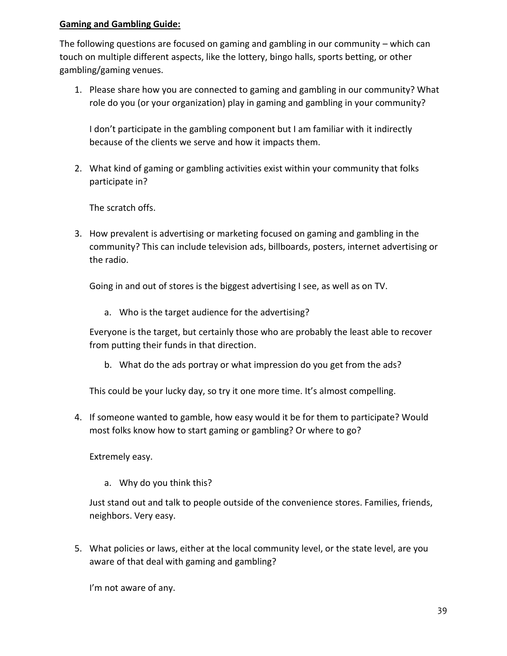The following questions are focused on gaming and gambling in our community – which can touch on multiple different aspects, like the lottery, bingo halls, sports betting, or other gambling/gaming venues.

1. Please share how you are connected to gaming and gambling in our community? What role do you (or your organization) play in gaming and gambling in your community?

I don't participate in the gambling component but I am familiar with it indirectly because of the clients we serve and how it impacts them.

2. What kind of gaming or gambling activities exist within your community that folks participate in?

The scratch offs.

3. How prevalent is advertising or marketing focused on gaming and gambling in the community? This can include television ads, billboards, posters, internet advertising or the radio.

Going in and out of stores is the biggest advertising I see, as well as on TV.

a. Who is the target audience for the advertising?

Everyone is the target, but certainly those who are probably the least able to recover from putting their funds in that direction.

b. What do the ads portray or what impression do you get from the ads?

This could be your lucky day, so try it one more time. It's almost compelling.

4. If someone wanted to gamble, how easy would it be for them to participate? Would most folks know how to start gaming or gambling? Or where to go?

Extremely easy.

a. Why do you think this?

Just stand out and talk to people outside of the convenience stores. Families, friends, neighbors. Very easy.

5. What policies or laws, either at the local community level, or the state level, are you aware of that deal with gaming and gambling?

I'm not aware of any.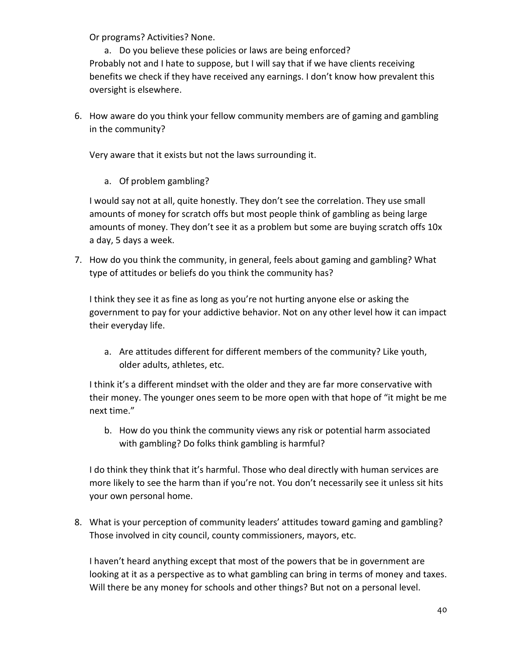Or programs? Activities? None.

a. Do you believe these policies or laws are being enforced? Probably not and I hate to suppose, but I will say that if we have clients receiving benefits we check if they have received any earnings. I don't know how prevalent this oversight is elsewhere.

6. How aware do you think your fellow community members are of gaming and gambling in the community?

Very aware that it exists but not the laws surrounding it.

a. Of problem gambling?

I would say not at all, quite honestly. They don't see the correlation. They use small amounts of money for scratch offs but most people think of gambling as being large amounts of money. They don't see it as a problem but some are buying scratch offs 10x a day, 5 days a week.

7. How do you think the community, in general, feels about gaming and gambling? What type of attitudes or beliefs do you think the community has?

I think they see it as fine as long as you're not hurting anyone else or asking the government to pay for your addictive behavior. Not on any other level how it can impact their everyday life.

a. Are attitudes different for different members of the community? Like youth, older adults, athletes, etc.

I think it's a different mindset with the older and they are far more conservative with their money. The younger ones seem to be more open with that hope of "it might be me next time."

b. How do you think the community views any risk or potential harm associated with gambling? Do folks think gambling is harmful?

I do think they think that it's harmful. Those who deal directly with human services are more likely to see the harm than if you're not. You don't necessarily see it unless sit hits your own personal home.

8. What is your perception of community leaders' attitudes toward gaming and gambling? Those involved in city council, county commissioners, mayors, etc.

I haven't heard anything except that most of the powers that be in government are looking at it as a perspective as to what gambling can bring in terms of money and taxes. Will there be any money for schools and other things? But not on a personal level.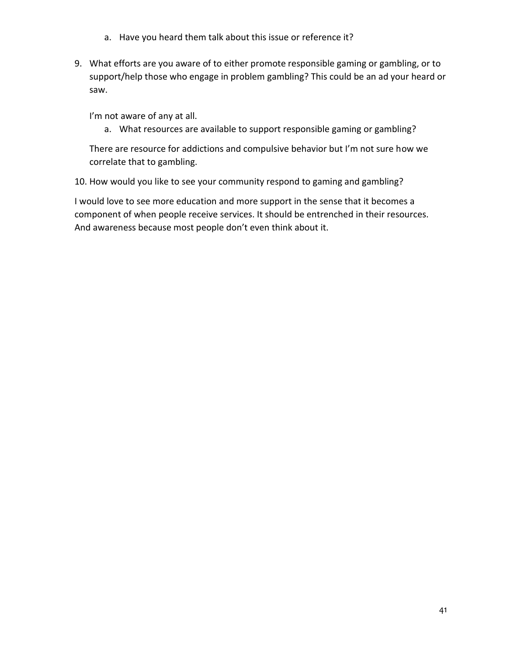- a. Have you heard them talk about this issue or reference it?
- 9. What efforts are you aware of to either promote responsible gaming or gambling, or to support/help those who engage in problem gambling? This could be an ad your heard or saw.

I'm not aware of any at all.

a. What resources are available to support responsible gaming or gambling?

There are resource for addictions and compulsive behavior but I'm not sure how we correlate that to gambling.

10. How would you like to see your community respond to gaming and gambling?

I would love to see more education and more support in the sense that it becomes a component of when people receive services. It should be entrenched in their resources. And awareness because most people don't even think about it.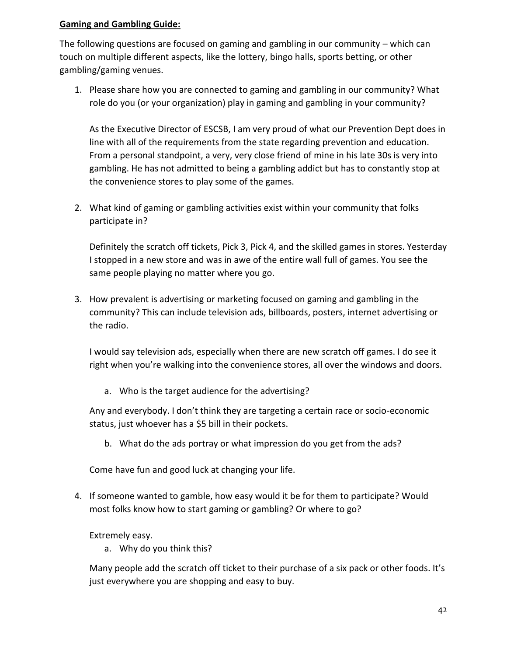The following questions are focused on gaming and gambling in our community – which can touch on multiple different aspects, like the lottery, bingo halls, sports betting, or other gambling/gaming venues.

1. Please share how you are connected to gaming and gambling in our community? What role do you (or your organization) play in gaming and gambling in your community?

As the Executive Director of ESCSB, I am very proud of what our Prevention Dept does in line with all of the requirements from the state regarding prevention and education. From a personal standpoint, a very, very close friend of mine in his late 30s is very into gambling. He has not admitted to being a gambling addict but has to constantly stop at the convenience stores to play some of the games.

2. What kind of gaming or gambling activities exist within your community that folks participate in?

Definitely the scratch off tickets, Pick 3, Pick 4, and the skilled games in stores. Yesterday I stopped in a new store and was in awe of the entire wall full of games. You see the same people playing no matter where you go.

3. How prevalent is advertising or marketing focused on gaming and gambling in the community? This can include television ads, billboards, posters, internet advertising or the radio.

I would say television ads, especially when there are new scratch off games. I do see it right when you're walking into the convenience stores, all over the windows and doors.

a. Who is the target audience for the advertising?

Any and everybody. I don't think they are targeting a certain race or socio-economic status, just whoever has a \$5 bill in their pockets.

b. What do the ads portray or what impression do you get from the ads?

Come have fun and good luck at changing your life.

4. If someone wanted to gamble, how easy would it be for them to participate? Would most folks know how to start gaming or gambling? Or where to go?

### Extremely easy.

a. Why do you think this?

Many people add the scratch off ticket to their purchase of a six pack or other foods. It's just everywhere you are shopping and easy to buy.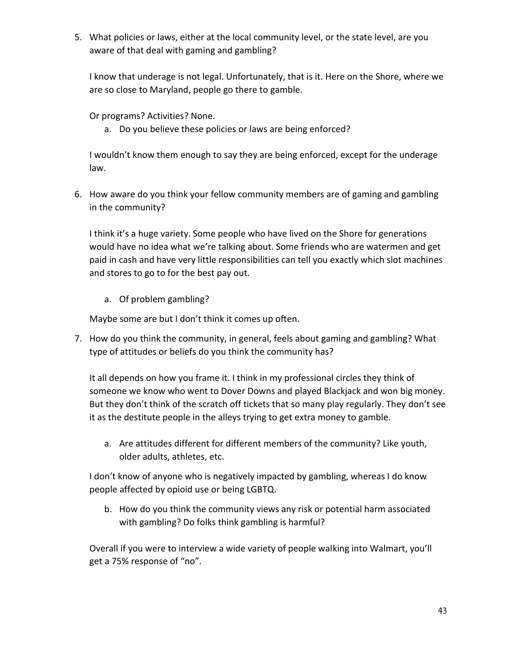5. What policies or laws, either at the local community level, or the state level, are you aware of that deal with gaming and gambling?

I know that underage is not legal. Unfortunately, that is it. Here on the Shore, where we are so close to Maryland, people go there to gamble.

Or programs? Activities? None.

a. Do you believe these policies or laws are being enforced?

I wouldn't know them enough to say they are being enforced, except for the underage law.

6. How aware do you think your fellow community members are of gaming and gambling in the community?

I think it's a huge variety. Some people who have lived on the Shore for generations would have no idea what we're talking about. Some friends who are watermen and get paid in cash and have very little responsibilities can tell you exactly which slot machines and stores to go to for the best pay out.

a. Of problem gambling?

Maybe some are but I don't think it comes up often.

7. How do you think the community, in general, feels about gaming and gambling? What type of attitudes or beliefs do you think the community has?

It all depends on how you frame it. I think in my professional circles they think of someone we know who went to Dover Downs and played Blackjack and won big money. But they don't think of the scratch off tickets that so many play regularly. They don't see it as the destitute people in the alleys trying to get extra money to gamble.

a. Are attitudes different for different members of the community? Like youth, older adults, athletes, etc.

I don't know of anyone who is negatively impacted by gambling, whereas I do know people affected by opioid use or being LGBTQ.

b. How do you think the community views any risk or potential harm associated with gambling? Do folks think gambling is harmful?

Overall if you were to interview a wide variety of people walking into Walmart, you'll get a 75% response of "no".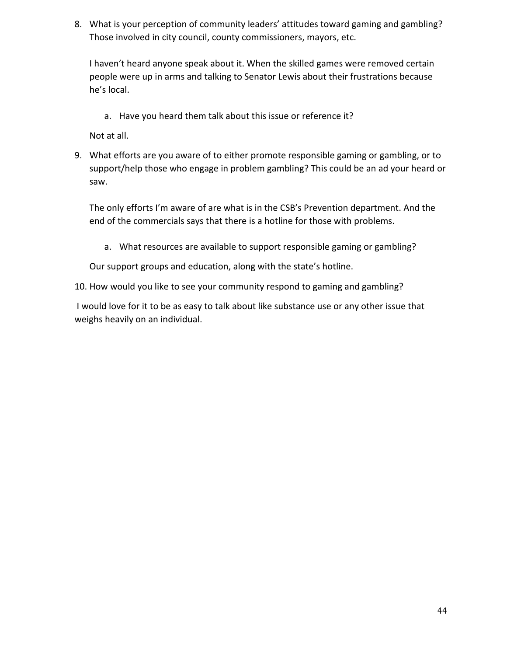8. What is your perception of community leaders' attitudes toward gaming and gambling? Those involved in city council, county commissioners, mayors, etc.

I haven't heard anyone speak about it. When the skilled games were removed certain people were up in arms and talking to Senator Lewis about their frustrations because he's local.

a. Have you heard them talk about this issue or reference it?

Not at all.

9. What efforts are you aware of to either promote responsible gaming or gambling, or to support/help those who engage in problem gambling? This could be an ad your heard or saw.

The only efforts I'm aware of are what is in the CSB's Prevention department. And the end of the commercials says that there is a hotline for those with problems.

a. What resources are available to support responsible gaming or gambling?

Our support groups and education, along with the state's hotline.

10. How would you like to see your community respond to gaming and gambling?

I would love for it to be as easy to talk about like substance use or any other issue that weighs heavily on an individual.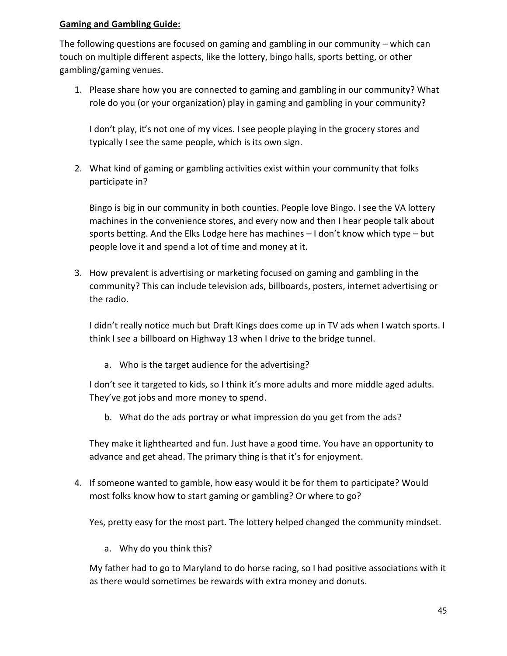The following questions are focused on gaming and gambling in our community – which can touch on multiple different aspects, like the lottery, bingo halls, sports betting, or other gambling/gaming venues.

1. Please share how you are connected to gaming and gambling in our community? What role do you (or your organization) play in gaming and gambling in your community?

I don't play, it's not one of my vices. I see people playing in the grocery stores and typically I see the same people, which is its own sign.

2. What kind of gaming or gambling activities exist within your community that folks participate in?

Bingo is big in our community in both counties. People love Bingo. I see the VA lottery machines in the convenience stores, and every now and then I hear people talk about sports betting. And the Elks Lodge here has machines – I don't know which type – but people love it and spend a lot of time and money at it.

3. How prevalent is advertising or marketing focused on gaming and gambling in the community? This can include television ads, billboards, posters, internet advertising or the radio.

I didn't really notice much but Draft Kings does come up in TV ads when I watch sports. I think I see a billboard on Highway 13 when I drive to the bridge tunnel.

a. Who is the target audience for the advertising?

I don't see it targeted to kids, so I think it's more adults and more middle aged adults. They've got jobs and more money to spend.

b. What do the ads portray or what impression do you get from the ads?

They make it lighthearted and fun. Just have a good time. You have an opportunity to advance and get ahead. The primary thing is that it's for enjoyment.

4. If someone wanted to gamble, how easy would it be for them to participate? Would most folks know how to start gaming or gambling? Or where to go?

Yes, pretty easy for the most part. The lottery helped changed the community mindset.

a. Why do you think this?

My father had to go to Maryland to do horse racing, so I had positive associations with it as there would sometimes be rewards with extra money and donuts.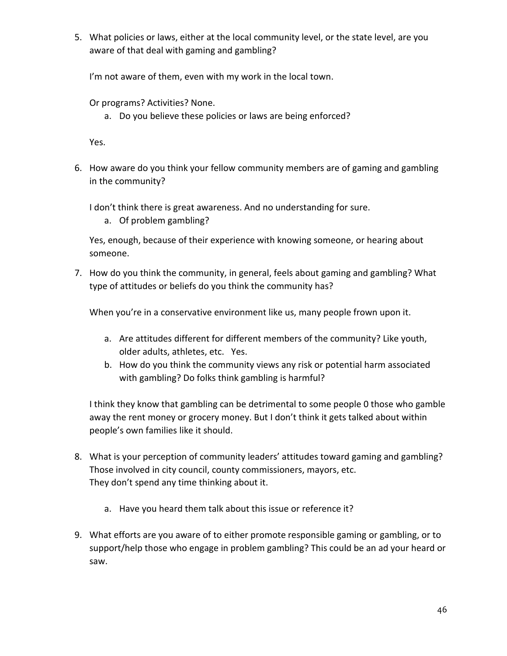5. What policies or laws, either at the local community level, or the state level, are you aware of that deal with gaming and gambling?

I'm not aware of them, even with my work in the local town.

Or programs? Activities? None.

a. Do you believe these policies or laws are being enforced?

Yes.

6. How aware do you think your fellow community members are of gaming and gambling in the community?

I don't think there is great awareness. And no understanding for sure.

a. Of problem gambling?

Yes, enough, because of their experience with knowing someone, or hearing about someone.

7. How do you think the community, in general, feels about gaming and gambling? What type of attitudes or beliefs do you think the community has?

When you're in a conservative environment like us, many people frown upon it.

- a. Are attitudes different for different members of the community? Like youth, older adults, athletes, etc. Yes.
- b. How do you think the community views any risk or potential harm associated with gambling? Do folks think gambling is harmful?

I think they know that gambling can be detrimental to some people 0 those who gamble away the rent money or grocery money. But I don't think it gets talked about within people's own families like it should.

- 8. What is your perception of community leaders' attitudes toward gaming and gambling? Those involved in city council, county commissioners, mayors, etc. They don't spend any time thinking about it.
	- a. Have you heard them talk about this issue or reference it?
- 9. What efforts are you aware of to either promote responsible gaming or gambling, or to support/help those who engage in problem gambling? This could be an ad your heard or saw.